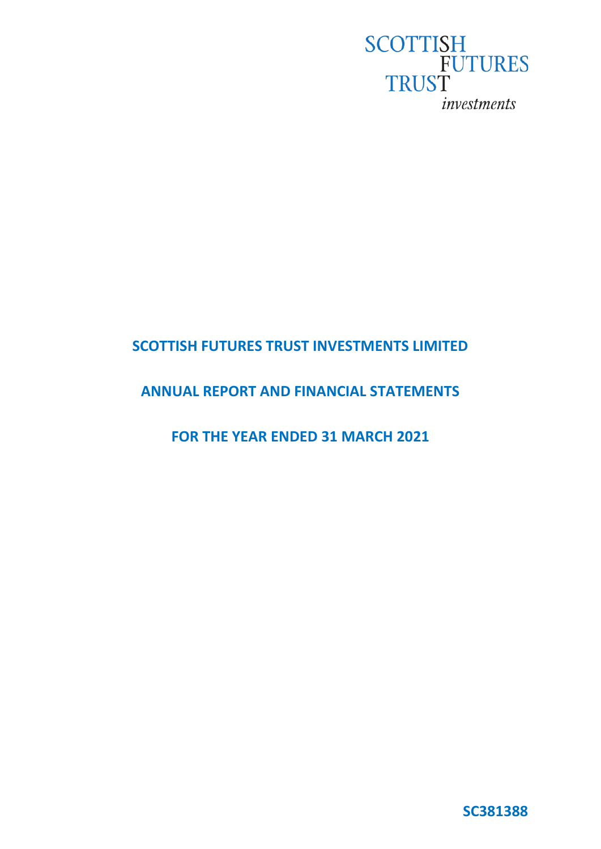

# **SCOTTISH FUTURES TRUST INVESTMENTS LIMITED**

# **ANNUAL REPORT AND FINANCIAL STATEMENTS**

**FOR THE YEAR ENDED 31 MARCH 2021**

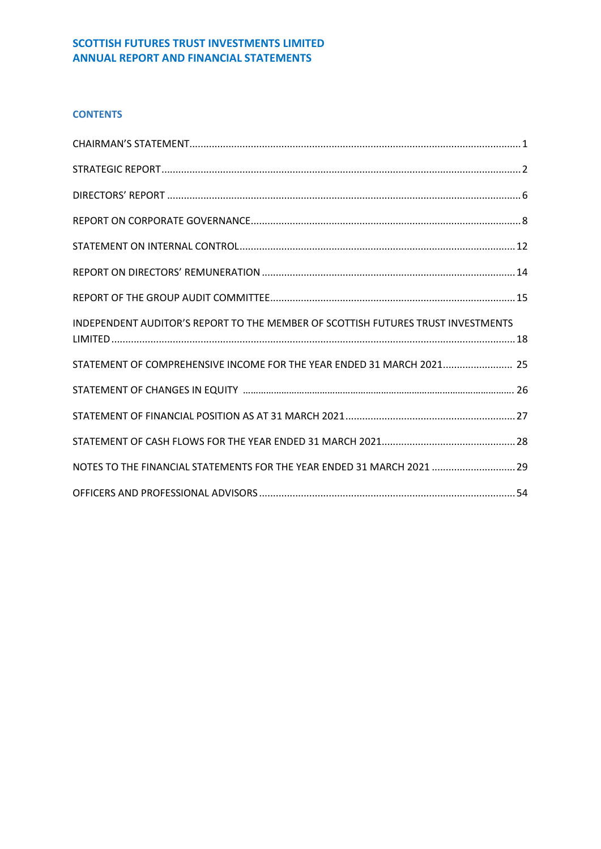# **CONTENTS**

| INDEPENDENT AUDITOR'S REPORT TO THE MEMBER OF SCOTTISH FUTURES TRUST INVESTMENTS |  |
|----------------------------------------------------------------------------------|--|
| STATEMENT OF COMPREHENSIVE INCOME FOR THE YEAR ENDED 31 MARCH 2021 25            |  |
|                                                                                  |  |
|                                                                                  |  |
|                                                                                  |  |
| NOTES TO THE FINANCIAL STATEMENTS FOR THE YEAR ENDED 31 MARCH 2021  29           |  |
|                                                                                  |  |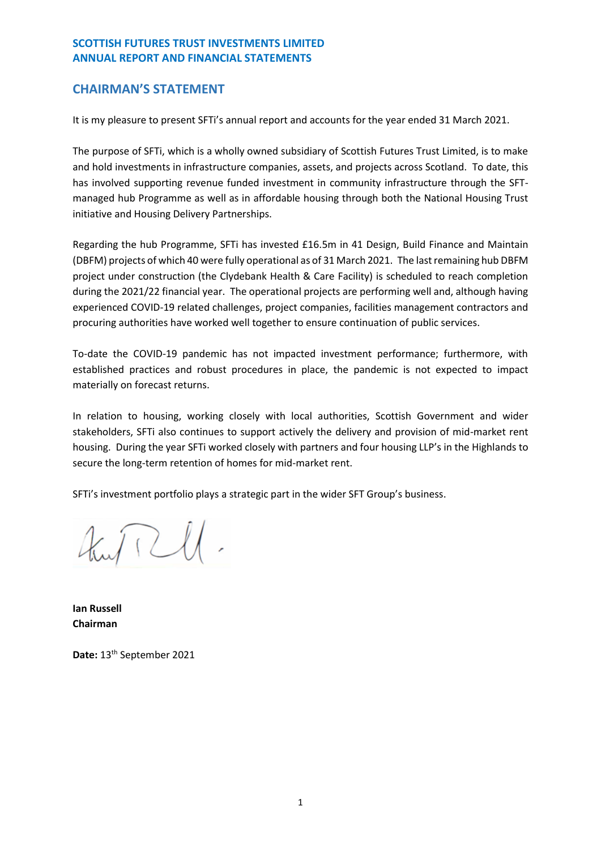# <span id="page-2-0"></span>**CHAIRMAN'S STATEMENT**

It is my pleasure to present SFTi's annual report and accounts for the year ended 31 March 2021.

The purpose of SFTi, which is a wholly owned subsidiary of Scottish Futures Trust Limited, is to make and hold investments in infrastructure companies, assets, and projects across Scotland. To date, this has involved supporting revenue funded investment in community infrastructure through the SFTmanaged hub Programme as well as in affordable housing through both the National Housing Trust initiative and Housing Delivery Partnerships.

Regarding the hub Programme, SFTi has invested £16.5m in 41 Design, Build Finance and Maintain (DBFM) projects of which 40 were fully operational as of 31 March 2021. The last remaining hub DBFM project under construction (the Clydebank Health & Care Facility) is scheduled to reach completion during the 2021/22 financial year. The operational projects are performing well and, although having experienced COVID-19 related challenges, project companies, facilities management contractors and procuring authorities have worked well together to ensure continuation of public services.

To-date the COVID-19 pandemic has not impacted investment performance; furthermore, with established practices and robust procedures in place, the pandemic is not expected to impact materially on forecast returns.

In relation to housing, working closely with local authorities, Scottish Government and wider stakeholders, SFTi also continues to support actively the delivery and provision of mid-market rent housing. During the year SFTi worked closely with partners and four housing LLP's in the Highlands to secure the long-term retention of homes for mid-market rent.

SFTi's investment portfolio plays a strategic part in the wider SFT Group's business.

 $\pi \mathcal{U}$ .

**Ian Russell Chairman**

**Date:** 13th September 2021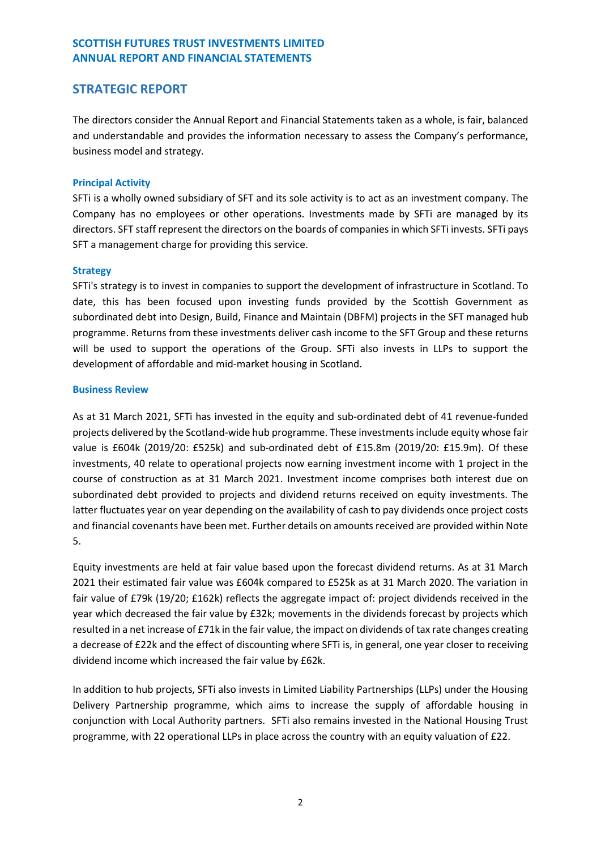# <span id="page-3-0"></span>**STRATEGIC REPORT**

The directors consider the Annual Report and Financial Statements taken as a whole, is fair, balanced and understandable and provides the information necessary to assess the Company's performance, business model and strategy.

## **Principal Activity**

SFTi is a wholly owned subsidiary of SFT and its sole activity is to act as an investment company. The Company has no employees or other operations. Investments made by SFTi are managed by its directors. SFT staff represent the directors on the boards of companies in which SFTi invests. SFTi pays SFT a management charge for providing this service.

## **Strategy**

SFTi's strategy is to invest in companies to support the development of infrastructure in Scotland. To date, this has been focused upon investing funds provided by the Scottish Government as subordinated debt into Design, Build, Finance and Maintain (DBFM) projects in the SFT managed hub programme. Returns from these investments deliver cash income to the SFT Group and these returns will be used to support the operations of the Group. SFTi also invests in LLPs to support the development of affordable and mid-market housing in Scotland.

## **Business Review**

As at 31 March 2021, SFTi has invested in the equity and sub-ordinated debt of 41 revenue-funded projects delivered by the Scotland-wide hub programme. These investments include equity whose fair value is £604k (2019/20: £525k) and sub-ordinated debt of £15.8m (2019/20: £15.9m). Of these investments, 40 relate to operational projects now earning investment income with 1 project in the course of construction as at 31 March 2021. Investment income comprises both interest due on subordinated debt provided to projects and dividend returns received on equity investments. The latter fluctuates year on year depending on the availability of cash to pay dividends once project costs and financial covenants have been met. Further details on amounts received are provided within Note 5.

Equity investments are held at fair value based upon the forecast dividend returns. As at 31 March 2021 their estimated fair value was £604k compared to £525k as at 31 March 2020. The variation in fair value of £79k (19/20; £162k) reflects the aggregate impact of: project dividends received in the year which decreased the fair value by £32k; movements in the dividends forecast by projects which resulted in a net increase of £71k in the fair value, the impact on dividends of tax rate changes creating a decrease of £22k and the effect of discounting where SFTi is, in general, one year closer to receiving dividend income which increased the fair value by £62k.

In addition to hub projects, SFTi also invests in Limited Liability Partnerships (LLPs) under the Housing Delivery Partnership programme, which aims to increase the supply of affordable housing in conjunction with Local Authority partners. SFTi also remains invested in the National Housing Trust programme, with 22 operational LLPs in place across the country with an equity valuation of £22.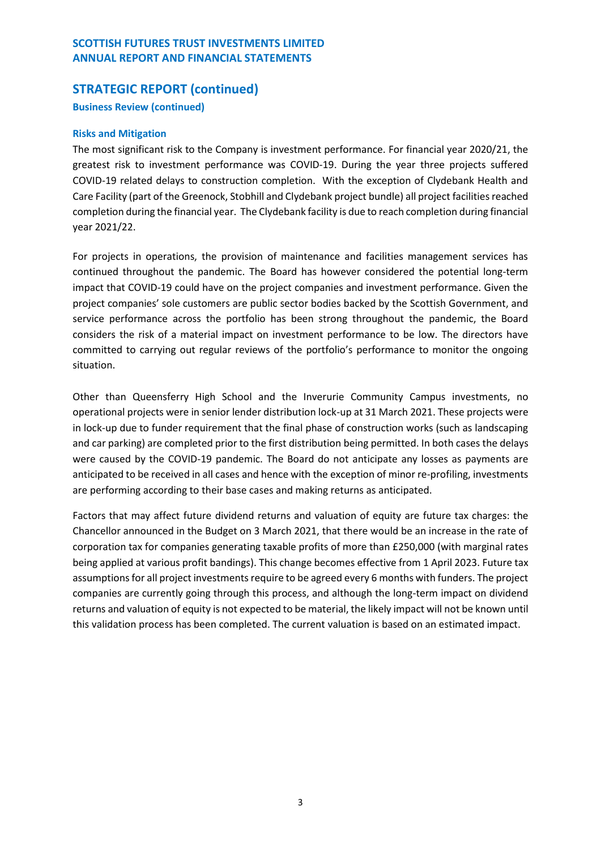# **STRATEGIC REPORT (continued)**

## **Business Review (continued)**

## **Risks and Mitigation**

The most significant risk to the Company is investment performance. For financial year 2020/21, the greatest risk to investment performance was COVID-19. During the year three projects suffered COVID-19 related delays to construction completion. With the exception of Clydebank Health and Care Facility (part of the Greenock, Stobhill and Clydebank project bundle) all project facilities reached completion during the financial year. The Clydebank facility is due to reach completion during financial year 2021/22.

For projects in operations, the provision of maintenance and facilities management services has continued throughout the pandemic. The Board has however considered the potential long-term impact that COVID-19 could have on the project companies and investment performance. Given the project companies' sole customers are public sector bodies backed by the Scottish Government, and service performance across the portfolio has been strong throughout the pandemic, the Board considers the risk of a material impact on investment performance to be low. The directors have committed to carrying out regular reviews of the portfolio's performance to monitor the ongoing situation.

Other than Queensferry High School and the Inverurie Community Campus investments, no operational projects were in senior lender distribution lock-up at 31 March 2021. These projects were in lock-up due to funder requirement that the final phase of construction works (such as landscaping and car parking) are completed prior to the first distribution being permitted. In both cases the delays were caused by the COVID-19 pandemic. The Board do not anticipate any losses as payments are anticipated to be received in all cases and hence with the exception of minor re-profiling, investments are performing according to their base cases and making returns as anticipated.

Factors that may affect future dividend returns and valuation of equity are future tax charges: the Chancellor announced in the Budget on 3 March 2021, that there would be an increase in the rate of corporation tax for companies generating taxable profits of more than £250,000 (with marginal rates being applied at various profit bandings). This change becomes effective from 1 April 2023. Future tax assumptions for all project investments require to be agreed every 6 months with funders. The project companies are currently going through this process, and although the long-term impact on dividend returns and valuation of equity is not expected to be material, the likely impact will not be known until this validation process has been completed. The current valuation is based on an estimated impact.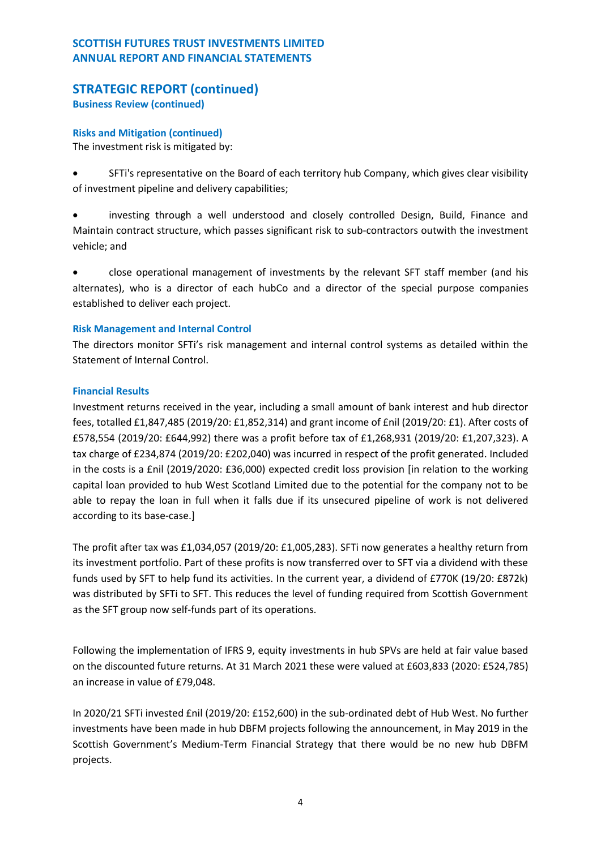# **STRATEGIC REPORT (continued)**

**Business Review (continued)**

## **Risks and Mitigation (continued)**

The investment risk is mitigated by:

• SFTi's representative on the Board of each territory hub Company, which gives clear visibility of investment pipeline and delivery capabilities;

• investing through a well understood and closely controlled Design, Build, Finance and Maintain contract structure, which passes significant risk to sub-contractors outwith the investment vehicle; and

• close operational management of investments by the relevant SFT staff member (and his alternates), who is a director of each hubCo and a director of the special purpose companies established to deliver each project.

# **Risk Management and Internal Control**

The directors monitor SFTi's risk management and internal control systems as detailed within the Statement of Internal Control.

# **Financial Results**

Investment returns received in the year, including a small amount of bank interest and hub director fees, totalled £1,847,485 (2019/20: £1,852,314) and grant income of £nil (2019/20: £1). After costs of £578,554 (2019/20: £644,992) there was a profit before tax of £1,268,931 (2019/20: £1,207,323). A tax charge of £234,874 (2019/20: £202,040) was incurred in respect of the profit generated. Included in the costs is a £nil (2019/2020: £36,000) expected credit loss provision [in relation to the working capital loan provided to hub West Scotland Limited due to the potential for the company not to be able to repay the loan in full when it falls due if its unsecured pipeline of work is not delivered according to its base-case.]

The profit after tax was £1,034,057 (2019/20: £1,005,283). SFTi now generates a healthy return from its investment portfolio. Part of these profits is now transferred over to SFT via a dividend with these funds used by SFT to help fund its activities. In the current year, a dividend of £770K (19/20: £872k) was distributed by SFTi to SFT. This reduces the level of funding required from Scottish Government as the SFT group now self-funds part of its operations.

Following the implementation of IFRS 9, equity investments in hub SPVs are held at fair value based on the discounted future returns. At 31 March 2021 these were valued at £603,833 (2020: £524,785) an increase in value of £79,048.

In 2020/21 SFTi invested £nil (2019/20: £152,600) in the sub-ordinated debt of Hub West. No further investments have been made in hub DBFM projects following the announcement, in May 2019 in the Scottish Government's Medium-Term Financial Strategy that there would be no new hub DBFM projects.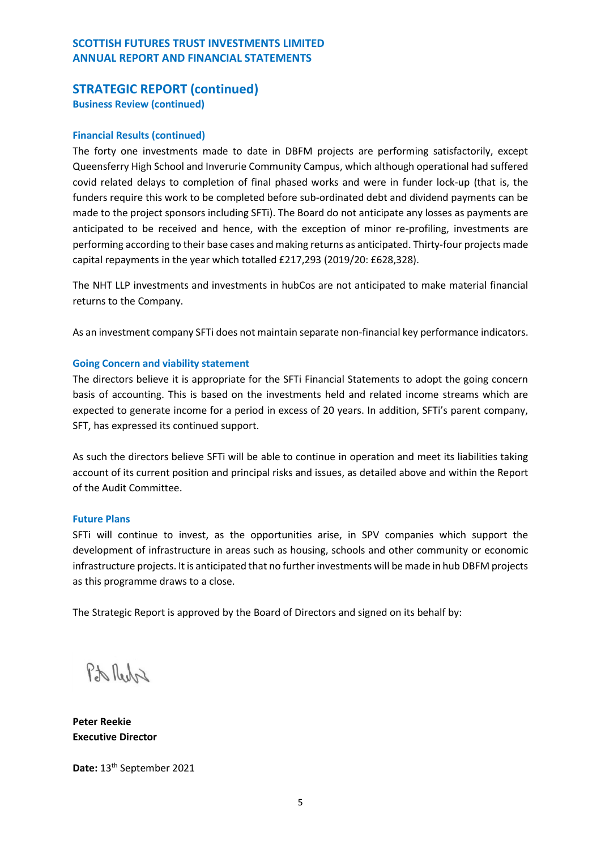# **STRATEGIC REPORT (continued) Business Review (continued)**

## **Financial Results (continued)**

The forty one investments made to date in DBFM projects are performing satisfactorily, except Queensferry High School and Inverurie Community Campus, which although operational had suffered covid related delays to completion of final phased works and were in funder lock-up (that is, the funders require this work to be completed before sub-ordinated debt and dividend payments can be made to the project sponsors including SFTi). The Board do not anticipate any losses as payments are anticipated to be received and hence, with the exception of minor re-profiling, investments are performing according to their base cases and making returns as anticipated. Thirty-four projects made capital repayments in the year which totalled £217,293 (2019/20: £628,328).

The NHT LLP investments and investments in hubCos are not anticipated to make material financial returns to the Company.

As an investment company SFTi does not maintain separate non-financial key performance indicators.

#### **Going Concern and viability statement**

The directors believe it is appropriate for the SFTi Financial Statements to adopt the going concern basis of accounting. This is based on the investments held and related income streams which are expected to generate income for a period in excess of 20 years. In addition, SFTi's parent company, SFT, has expressed its continued support.

As such the directors believe SFTi will be able to continue in operation and meet its liabilities taking account of its current position and principal risks and issues, as detailed above and within the Report of the Audit Committee.

#### **Future Plans**

SFTi will continue to invest, as the opportunities arise, in SPV companies which support the development of infrastructure in areas such as housing, schools and other community or economic infrastructure projects. It is anticipated that no further investments will be made in hub DBFM projects as this programme draws to a close.

The Strategic Report is approved by the Board of Directors and signed on its behalf by:

Pt Reda

**Peter Reekie Executive Director**

Date: 13<sup>th</sup> September 2021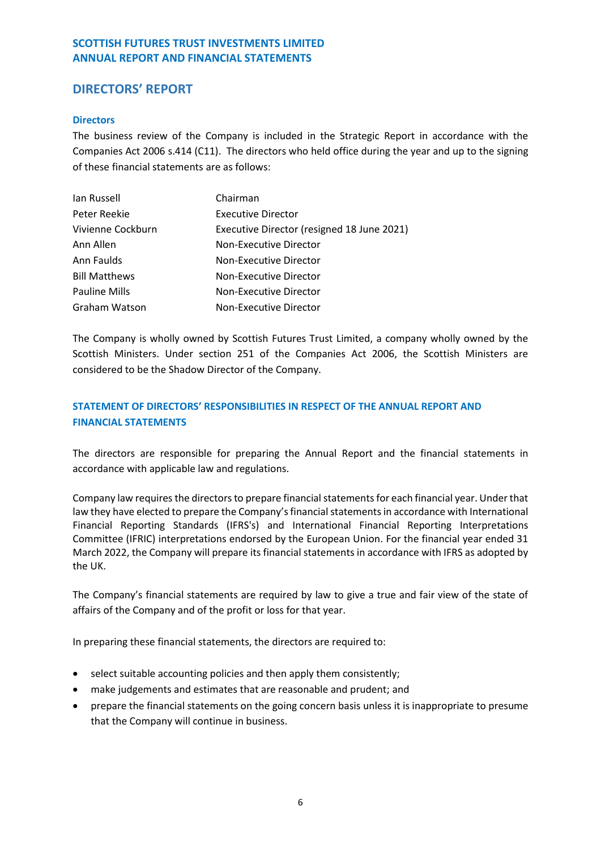# <span id="page-7-0"></span>**DIRECTORS' REPORT**

## **Directors**

The business review of the Company is included in the Strategic Report in accordance with the Companies Act 2006 s.414 (C11). The directors who held office during the year and up to the signing of these financial statements are as follows:

| lan Russell          | Chairman                                   |
|----------------------|--------------------------------------------|
| Peter Reekie         | <b>Executive Director</b>                  |
| Vivienne Cockburn    | Executive Director (resigned 18 June 2021) |
| Ann Allen            | Non-Executive Director                     |
| Ann Faulds           | Non-Executive Director                     |
| <b>Bill Matthews</b> | Non-Executive Director                     |
| <b>Pauline Mills</b> | Non-Executive Director                     |
| Graham Watson        | Non-Executive Director                     |

The Company is wholly owned by Scottish Futures Trust Limited, a company wholly owned by the Scottish Ministers. Under section 251 of the Companies Act 2006, the Scottish Ministers are considered to be the Shadow Director of the Company.

# **STATEMENT OF DIRECTORS' RESPONSIBILITIES IN RESPECT OF THE ANNUAL REPORT AND FINANCIAL STATEMENTS**

The directors are responsible for preparing the Annual Report and the financial statements in accordance with applicable law and regulations.

Company law requires the directors to prepare financial statements for each financial year. Under that law they have elected to prepare the Company's financial statements in accordance with International Financial Reporting Standards (IFRS's) and International Financial Reporting Interpretations Committee (IFRIC) interpretations endorsed by the European Union. For the financial year ended 31 March 2022, the Company will prepare its financial statements in accordance with IFRS as adopted by the UK.

The Company's financial statements are required by law to give a true and fair view of the state of affairs of the Company and of the profit or loss for that year.

In preparing these financial statements, the directors are required to:

- select suitable accounting policies and then apply them consistently;
- make judgements and estimates that are reasonable and prudent; and
- prepare the financial statements on the going concern basis unless it is inappropriate to presume that the Company will continue in business.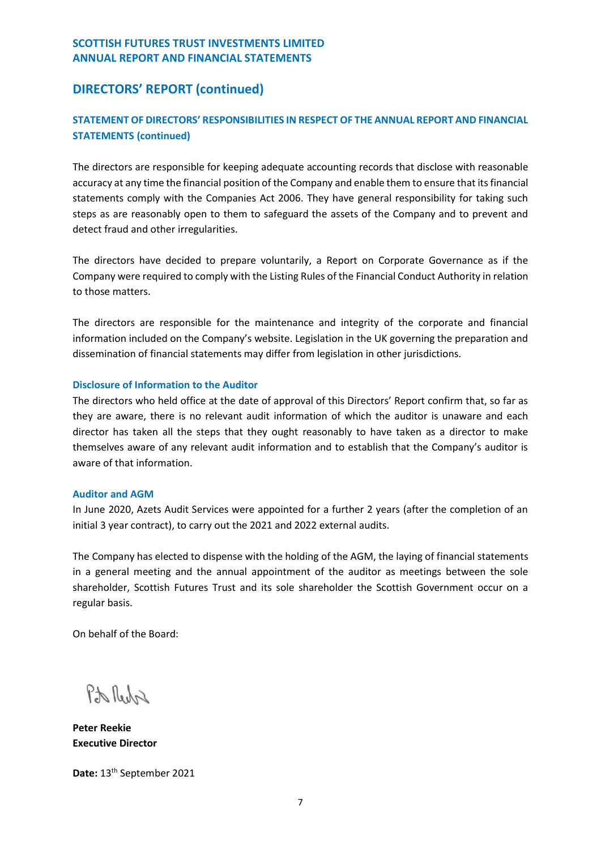# **DIRECTORS' REPORT (continued)**

# **STATEMENT OF DIRECTORS' RESPONSIBILITIES IN RESPECT OF THE ANNUAL REPORT AND FINANCIAL STATEMENTS (continued)**

The directors are responsible for keeping adequate accounting records that disclose with reasonable accuracy at any time the financial position of the Company and enable them to ensure that its financial statements comply with the Companies Act 2006. They have general responsibility for taking such steps as are reasonably open to them to safeguard the assets of the Company and to prevent and detect fraud and other irregularities.

The directors have decided to prepare voluntarily, a Report on Corporate Governance as if the Company were required to comply with the Listing Rules of the Financial Conduct Authority in relation to those matters.

The directors are responsible for the maintenance and integrity of the corporate and financial information included on the Company's website. Legislation in the UK governing the preparation and dissemination of financial statements may differ from legislation in other jurisdictions.

## **Disclosure of Information to the Auditor**

The directors who held office at the date of approval of this Directors' Report confirm that, so far as they are aware, there is no relevant audit information of which the auditor is unaware and each director has taken all the steps that they ought reasonably to have taken as a director to make themselves aware of any relevant audit information and to establish that the Company's auditor is aware of that information.

## **Auditor and AGM**

In June 2020, Azets Audit Services were appointed for a further 2 years (after the completion of an initial 3 year contract), to carry out the 2021 and 2022 external audits.

The Company has elected to dispense with the holding of the AGM, the laying of financial statements in a general meeting and the annual appointment of the auditor as meetings between the sole shareholder, Scottish Futures Trust and its sole shareholder the Scottish Government occur on a regular basis.

On behalf of the Board:

ProlledA

**Peter Reekie Executive Director**

Date: 13<sup>th</sup> September 2021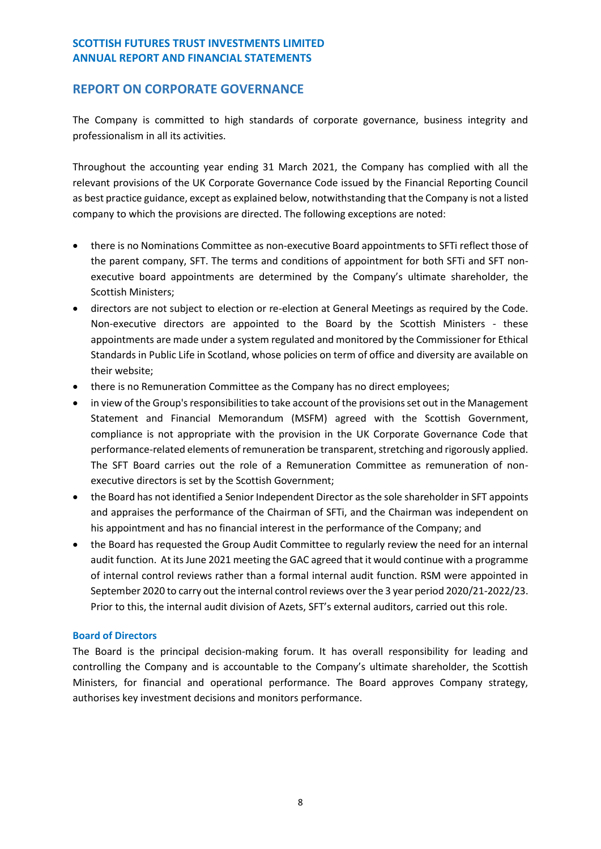# <span id="page-9-0"></span>**REPORT ON CORPORATE GOVERNANCE**

The Company is committed to high standards of corporate governance, business integrity and professionalism in all its activities.

Throughout the accounting year ending 31 March 2021, the Company has complied with all the relevant provisions of the UK Corporate Governance Code issued by the Financial Reporting Council as best practice guidance, except as explained below, notwithstanding that the Company is not a listed company to which the provisions are directed. The following exceptions are noted:

- there is no Nominations Committee as non-executive Board appointments to SFTi reflect those of the parent company, SFT. The terms and conditions of appointment for both SFTi and SFT nonexecutive board appointments are determined by the Company's ultimate shareholder, the Scottish Ministers;
- directors are not subject to election or re-election at General Meetings as required by the Code. Non-executive directors are appointed to the Board by the Scottish Ministers - these appointments are made under a system regulated and monitored by the Commissioner for Ethical Standards in Public Life in Scotland, whose policies on term of office and diversity are available on their website;
- there is no Remuneration Committee as the Company has no direct employees;
- in view of the Group's responsibilities to take account of the provisions set out in the Management Statement and Financial Memorandum (MSFM) agreed with the Scottish Government, compliance is not appropriate with the provision in the UK Corporate Governance Code that performance-related elements of remuneration be transparent, stretching and rigorously applied. The SFT Board carries out the role of a Remuneration Committee as remuneration of nonexecutive directors is set by the Scottish Government;
- the Board has not identified a Senior Independent Director as the sole shareholder in SFT appoints and appraises the performance of the Chairman of SFTi, and the Chairman was independent on his appointment and has no financial interest in the performance of the Company; and
- the Board has requested the Group Audit Committee to regularly review the need for an internal audit function. At its June 2021 meeting the GAC agreed that it would continue with a programme of internal control reviews rather than a formal internal audit function. RSM were appointed in September 2020 to carry out the internal control reviews over the 3 year period 2020/21-2022/23. Prior to this, the internal audit division of Azets, SFT's external auditors, carried out this role.

## **Board of Directors**

The Board is the principal decision-making forum. It has overall responsibility for leading and controlling the Company and is accountable to the Company's ultimate shareholder, the Scottish Ministers, for financial and operational performance. The Board approves Company strategy, authorises key investment decisions and monitors performance.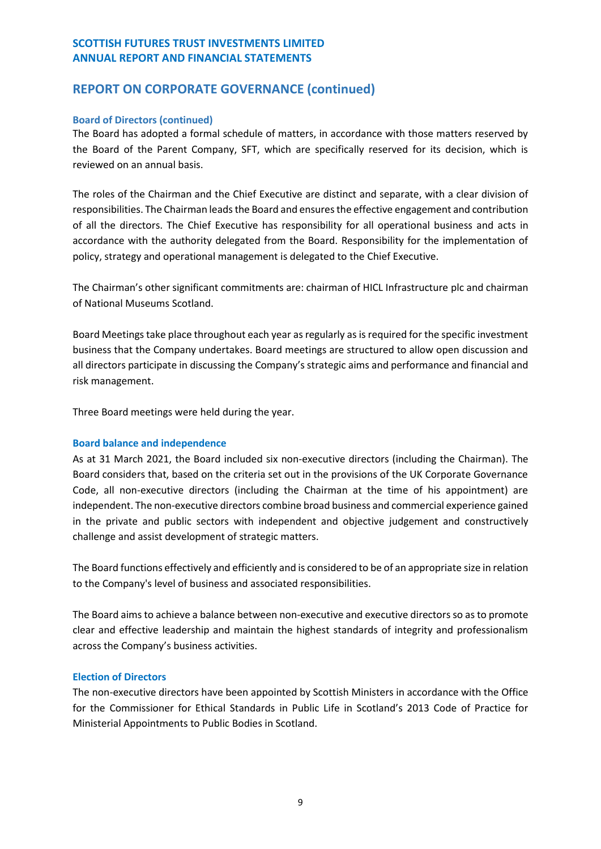# **REPORT ON CORPORATE GOVERNANCE (continued)**

## **Board of Directors (continued)**

The Board has adopted a formal schedule of matters, in accordance with those matters reserved by the Board of the Parent Company, SFT, which are specifically reserved for its decision, which is reviewed on an annual basis.

The roles of the Chairman and the Chief Executive are distinct and separate, with a clear division of responsibilities. The Chairman leads the Board and ensures the effective engagement and contribution of all the directors. The Chief Executive has responsibility for all operational business and acts in accordance with the authority delegated from the Board. Responsibility for the implementation of policy, strategy and operational management is delegated to the Chief Executive.

The Chairman's other significant commitments are: chairman of HICL Infrastructure plc and chairman of National Museums Scotland.

Board Meetings take place throughout each year as regularly as is required for the specific investment business that the Company undertakes. Board meetings are structured to allow open discussion and all directors participate in discussing the Company's strategic aims and performance and financial and risk management.

Three Board meetings were held during the year.

## **Board balance and independence**

As at 31 March 2021, the Board included six non-executive directors (including the Chairman). The Board considers that, based on the criteria set out in the provisions of the UK Corporate Governance Code, all non-executive directors (including the Chairman at the time of his appointment) are independent. The non-executive directors combine broad business and commercial experience gained in the private and public sectors with independent and objective judgement and constructively challenge and assist development of strategic matters.

The Board functions effectively and efficiently and is considered to be of an appropriate size in relation to the Company's level of business and associated responsibilities.

The Board aims to achieve a balance between non-executive and executive directors so as to promote clear and effective leadership and maintain the highest standards of integrity and professionalism across the Company's business activities.

## **Election of Directors**

The non-executive directors have been appointed by Scottish Ministers in accordance with the Office for the Commissioner for Ethical Standards in Public Life in Scotland's 2013 Code of Practice for Ministerial Appointments to Public Bodies in Scotland.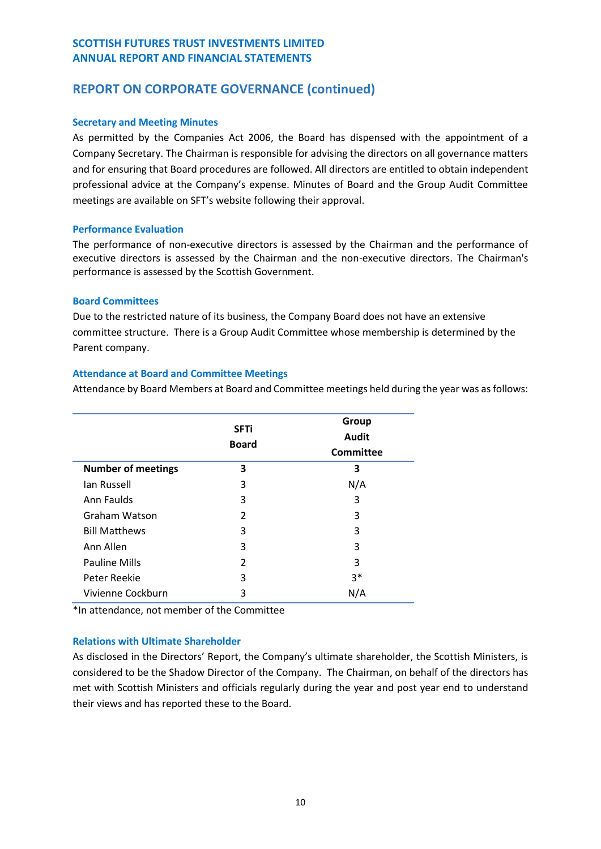# **REPORT ON CORPORATE GOVERNANCE (continued)**

## **Secretary and Meeting Minutes**

As permitted by the Companies Act 2006, the Board has dispensed with the appointment of a Company Secretary. The Chairman is responsible for advising the directors on all governance matters and for ensuring that Board procedures are followed. All directors are entitled to obtain independent professional advice at the Company's expense. Minutes of Board and the Group Audit Committee meetings are available on SFT's website following their approval.

## **Performance Evaluation**

The performance of non-executive directors is assessed by the Chairman and the performance of executive directors is assessed by the Chairman and the non-executive directors. The Chairman's performance is assessed by the Scottish Government.

## **Board Committees**

Due to the restricted nature of its business, the Company Board does not have an extensive committee structure. There is a Group Audit Committee whose membership is determined by the Parent company.

## **Attendance at Board and Committee Meetings**

Attendance by Board Members at Board and Committee meetings held during the year was as follows:

|                           | <b>SFTi</b><br><b>Board</b> | Group<br>Audit<br>Committee |
|---------------------------|-----------------------------|-----------------------------|
| <b>Number of meetings</b> | 3                           | 3                           |
| Ian Russell               | 3                           | N/A                         |
| Ann Faulds                | 3                           | 3                           |
| Graham Watson             | $\mathfrak{p}$              | 3                           |
| <b>Bill Matthews</b>      | 3                           | 3                           |
| Ann Allen                 | 3                           | 3                           |
| <b>Pauline Mills</b>      | $\mathfrak{p}$              | 3                           |
| Peter Reekie              | 3                           | $3*$                        |
| Vivienne Cockburn         | 3                           | N/A                         |

\*In attendance, not member of the Committee

## **Relations with Ultimate Shareholder**

As disclosed in the Directors' Report, the Company's ultimate shareholder, the Scottish Ministers, is considered to be the Shadow Director of the Company. The Chairman, on behalf of the directors has met with Scottish Ministers and officials regularly during the year and post year end to understand their views and has reported these to the Board.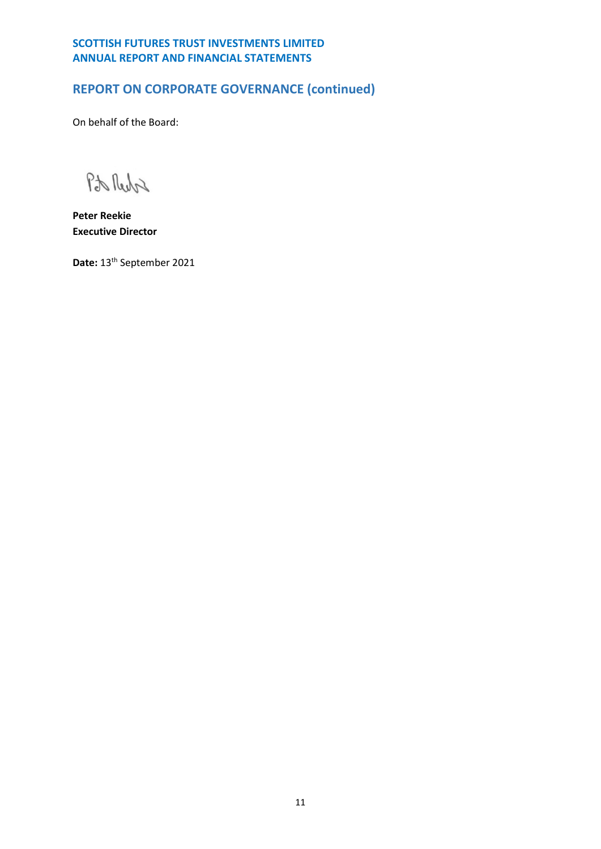# **REPORT ON CORPORATE GOVERNANCE (continued)**

On behalf of the Board:

Pto Reda

**Peter Reekie Executive Director**

Date: 13<sup>th</sup> September 2021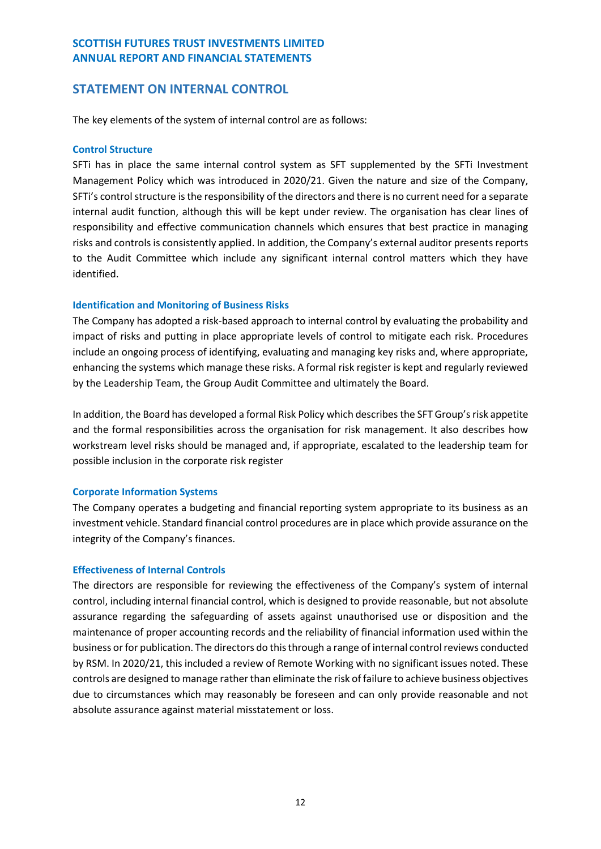# <span id="page-13-0"></span>**STATEMENT ON INTERNAL CONTROL**

The key elements of the system of internal control are as follows:

#### **Control Structure**

SFTi has in place the same internal control system as SFT supplemented by the SFTi Investment Management Policy which was introduced in 2020/21. Given the nature and size of the Company, SFTi's control structure is the responsibility of the directors and there is no current need for a separate internal audit function, although this will be kept under review. The organisation has clear lines of responsibility and effective communication channels which ensures that best practice in managing risks and controls is consistently applied. In addition, the Company's external auditor presents reports to the Audit Committee which include any significant internal control matters which they have identified.

## **Identification and Monitoring of Business Risks**

The Company has adopted a risk-based approach to internal control by evaluating the probability and impact of risks and putting in place appropriate levels of control to mitigate each risk. Procedures include an ongoing process of identifying, evaluating and managing key risks and, where appropriate, enhancing the systems which manage these risks. A formal risk register is kept and regularly reviewed by the Leadership Team, the Group Audit Committee and ultimately the Board.

In addition, the Board has developed a formal Risk Policy which describes the SFT Group's risk appetite and the formal responsibilities across the organisation for risk management. It also describes how workstream level risks should be managed and, if appropriate, escalated to the leadership team for possible inclusion in the corporate risk register

## **Corporate Information Systems**

The Company operates a budgeting and financial reporting system appropriate to its business as an investment vehicle. Standard financial control procedures are in place which provide assurance on the integrity of the Company's finances.

## **Effectiveness of Internal Controls**

The directors are responsible for reviewing the effectiveness of the Company's system of internal control, including internal financial control, which is designed to provide reasonable, but not absolute assurance regarding the safeguarding of assets against unauthorised use or disposition and the maintenance of proper accounting records and the reliability of financial information used within the business or for publication. The directors do this through a range of internal control reviews conducted by RSM. In 2020/21, this included a review of Remote Working with no significant issues noted. These controls are designed to manage rather than eliminate the risk of failure to achieve business objectives due to circumstances which may reasonably be foreseen and can only provide reasonable and not absolute assurance against material misstatement or loss.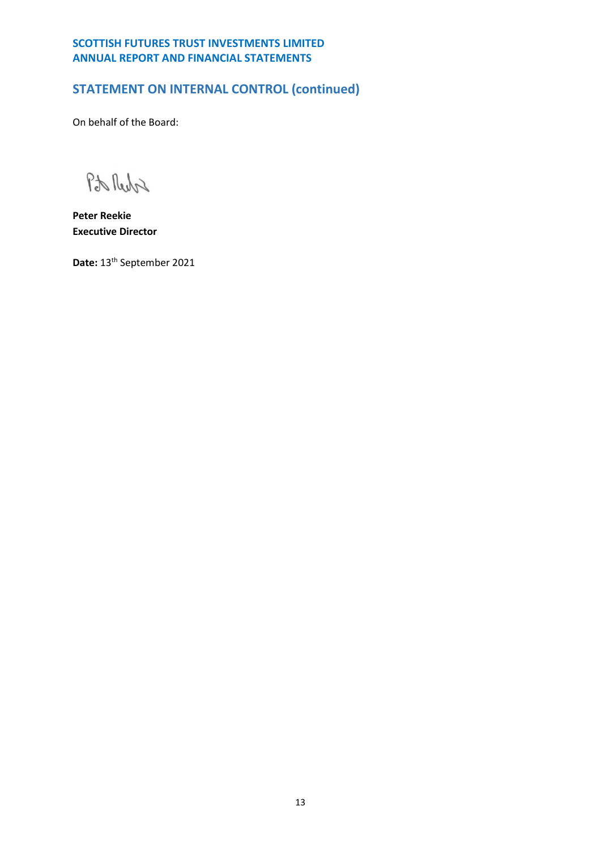# **STATEMENT ON INTERNAL CONTROL (continued)**

On behalf of the Board:

Pto Reda

**Peter Reekie Executive Director**

Date: 13<sup>th</sup> September 2021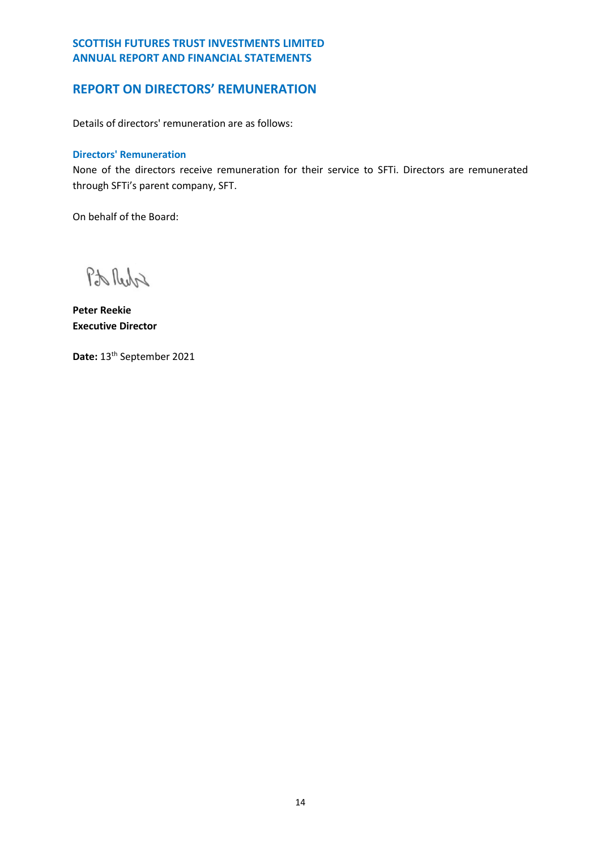# <span id="page-15-0"></span>**REPORT ON DIRECTORS' REMUNERATION**

Details of directors' remuneration are as follows:

## **Directors' Remuneration**

None of the directors receive remuneration for their service to SFTi. Directors are remunerated through SFTi's parent company, SFT.

On behalf of the Board:

Pto Reda

**Peter Reekie Executive Director**

Date: 13<sup>th</sup> September 2021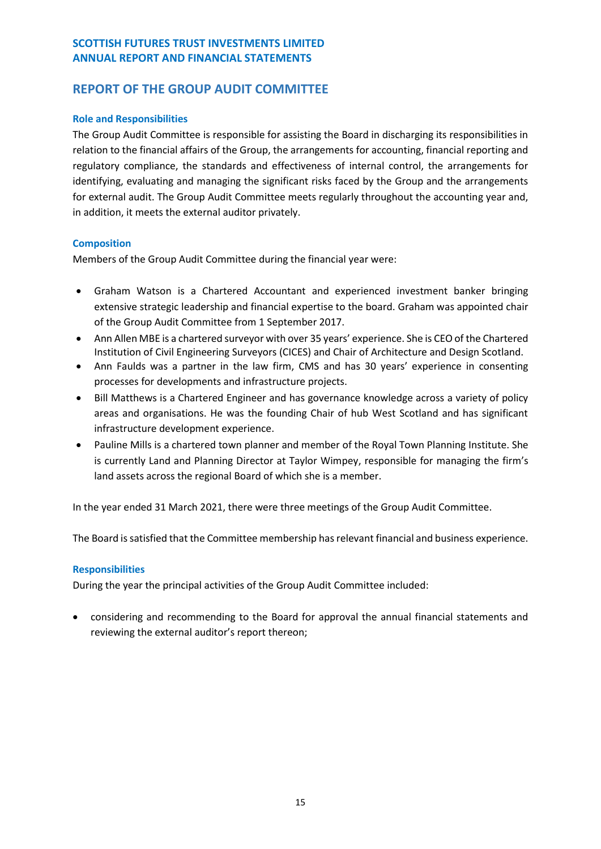# <span id="page-16-0"></span>**REPORT OF THE GROUP AUDIT COMMITTEE**

## **Role and Responsibilities**

The Group Audit Committee is responsible for assisting the Board in discharging its responsibilities in relation to the financial affairs of the Group, the arrangements for accounting, financial reporting and regulatory compliance, the standards and effectiveness of internal control, the arrangements for identifying, evaluating and managing the significant risks faced by the Group and the arrangements for external audit. The Group Audit Committee meets regularly throughout the accounting year and, in addition, it meets the external auditor privately.

## **Composition**

Members of the Group Audit Committee during the financial year were:

- Graham Watson is a Chartered Accountant and experienced investment banker bringing extensive strategic leadership and financial expertise to the board. Graham was appointed chair of the Group Audit Committee from 1 September 2017.
- Ann Allen MBE is a chartered surveyor with over 35 years' experience. She is CEO of the Chartered Institution of Civil Engineering Surveyors (CICES) and Chair of Architecture and Design Scotland.
- Ann Faulds was a partner in the law firm, CMS and has 30 years' experience in consenting processes for developments and infrastructure projects.
- Bill Matthews is a Chartered Engineer and has governance knowledge across a variety of policy areas and organisations. He was the founding Chair of hub West Scotland and has significant infrastructure development experience.
- Pauline Mills is a chartered town planner and member of the Royal Town Planning Institute. She is currently Land and Planning Director at Taylor Wimpey, responsible for managing the firm's land assets across the regional Board of which she is a member.

In the year ended 31 March 2021, there were three meetings of the Group Audit Committee.

The Board is satisfied that the Committee membership has relevant financial and business experience.

## **Responsibilities**

During the year the principal activities of the Group Audit Committee included:

• considering and recommending to the Board for approval the annual financial statements and reviewing the external auditor's report thereon;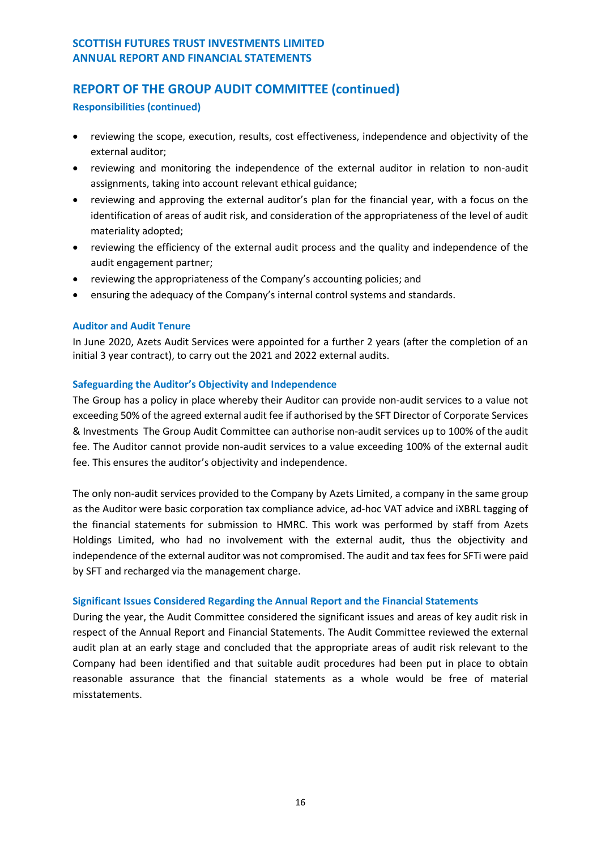# **REPORT OF THE GROUP AUDIT COMMITTEE (continued)**

**Responsibilities (continued)**

- reviewing the scope, execution, results, cost effectiveness, independence and objectivity of the external auditor;
- reviewing and monitoring the independence of the external auditor in relation to non-audit assignments, taking into account relevant ethical guidance;
- reviewing and approving the external auditor's plan for the financial year, with a focus on the identification of areas of audit risk, and consideration of the appropriateness of the level of audit materiality adopted;
- reviewing the efficiency of the external audit process and the quality and independence of the audit engagement partner;
- reviewing the appropriateness of the Company's accounting policies; and
- ensuring the adequacy of the Company's internal control systems and standards.

## **Auditor and Audit Tenure**

In June 2020, Azets Audit Services were appointed for a further 2 years (after the completion of an initial 3 year contract), to carry out the 2021 and 2022 external audits.

## **Safeguarding the Auditor's Objectivity and Independence**

The Group has a policy in place whereby their Auditor can provide non-audit services to a value not exceeding 50% of the agreed external audit fee if authorised by the SFT Director of Corporate Services & Investments The Group Audit Committee can authorise non-audit services up to 100% of the audit fee. The Auditor cannot provide non-audit services to a value exceeding 100% of the external audit fee. This ensures the auditor's objectivity and independence.

The only non-audit services provided to the Company by Azets Limited, a company in the same group as the Auditor were basic corporation tax compliance advice, ad-hoc VAT advice and iXBRL tagging of the financial statements for submission to HMRC. This work was performed by staff from Azets Holdings Limited, who had no involvement with the external audit, thus the objectivity and independence of the external auditor was not compromised. The audit and tax fees for SFTi were paid by SFT and recharged via the management charge.

## **Significant Issues Considered Regarding the Annual Report and the Financial Statements**

During the year, the Audit Committee considered the significant issues and areas of key audit risk in respect of the Annual Report and Financial Statements. The Audit Committee reviewed the external audit plan at an early stage and concluded that the appropriate areas of audit risk relevant to the Company had been identified and that suitable audit procedures had been put in place to obtain reasonable assurance that the financial statements as a whole would be free of material misstatements.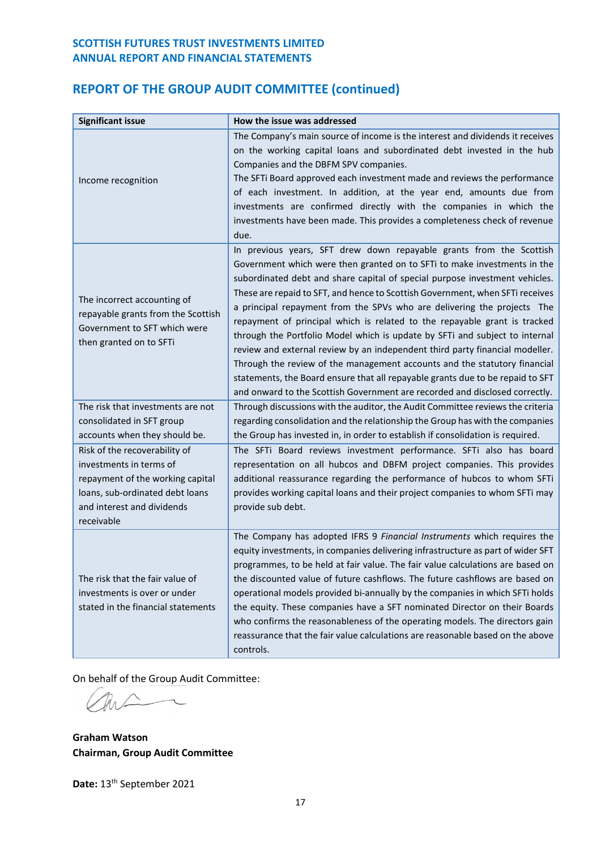# **REPORT OF THE GROUP AUDIT COMMITTEE (continued)**

| <b>Significant issue</b>                                                                                                                                                    | How the issue was addressed                                                                                                                                                                                                                                                                                                                                                                                                                                                                                                                                                                                                                                                                                                                                                                                                                                                          |
|-----------------------------------------------------------------------------------------------------------------------------------------------------------------------------|--------------------------------------------------------------------------------------------------------------------------------------------------------------------------------------------------------------------------------------------------------------------------------------------------------------------------------------------------------------------------------------------------------------------------------------------------------------------------------------------------------------------------------------------------------------------------------------------------------------------------------------------------------------------------------------------------------------------------------------------------------------------------------------------------------------------------------------------------------------------------------------|
| Income recognition                                                                                                                                                          | The Company's main source of income is the interest and dividends it receives<br>on the working capital loans and subordinated debt invested in the hub<br>Companies and the DBFM SPV companies.<br>The SFTi Board approved each investment made and reviews the performance<br>of each investment. In addition, at the year end, amounts due from<br>investments are confirmed directly with the companies in which the<br>investments have been made. This provides a completeness check of revenue<br>due.                                                                                                                                                                                                                                                                                                                                                                        |
| The incorrect accounting of<br>repayable grants from the Scottish<br>Government to SFT which were<br>then granted on to SFTi                                                | In previous years, SFT drew down repayable grants from the Scottish<br>Government which were then granted on to SFTi to make investments in the<br>subordinated debt and share capital of special purpose investment vehicles.<br>These are repaid to SFT, and hence to Scottish Government, when SFTi receives<br>a principal repayment from the SPVs who are delivering the projects The<br>repayment of principal which is related to the repayable grant is tracked<br>through the Portfolio Model which is update by SFTi and subject to internal<br>review and external review by an independent third party financial modeller.<br>Through the review of the management accounts and the statutory financial<br>statements, the Board ensure that all repayable grants due to be repaid to SFT<br>and onward to the Scottish Government are recorded and disclosed correctly. |
| The risk that investments are not<br>consolidated in SFT group<br>accounts when they should be.                                                                             | Through discussions with the auditor, the Audit Committee reviews the criteria<br>regarding consolidation and the relationship the Group has with the companies<br>the Group has invested in, in order to establish if consolidation is required.                                                                                                                                                                                                                                                                                                                                                                                                                                                                                                                                                                                                                                    |
| Risk of the recoverability of<br>investments in terms of<br>repayment of the working capital<br>loans, sub-ordinated debt loans<br>and interest and dividends<br>receivable | The SFTi Board reviews investment performance. SFTi also has board<br>representation on all hubcos and DBFM project companies. This provides<br>additional reassurance regarding the performance of hubcos to whom SFTi<br>provides working capital loans and their project companies to whom SFTi may<br>provide sub debt.                                                                                                                                                                                                                                                                                                                                                                                                                                                                                                                                                          |
| The risk that the fair value of<br>investments is over or under<br>stated in the financial statements                                                                       | The Company has adopted IFRS 9 Financial Instruments which requires the<br>equity investments, in companies delivering infrastructure as part of wider SFT<br>programmes, to be held at fair value. The fair value calculations are based on<br>the discounted value of future cashflows. The future cashflows are based on<br>operational models provided bi-annually by the companies in which SFTi holds<br>the equity. These companies have a SFT nominated Director on their Boards<br>who confirms the reasonableness of the operating models. The directors gain<br>reassurance that the fair value calculations are reasonable based on the above<br>controls.                                                                                                                                                                                                               |

On behalf of the Group Audit Committee:

 $\overline{\phantom{0}}$ 

**Graham Watson Chairman, Group Audit Committee**

Date: 13<sup>th</sup> September 2021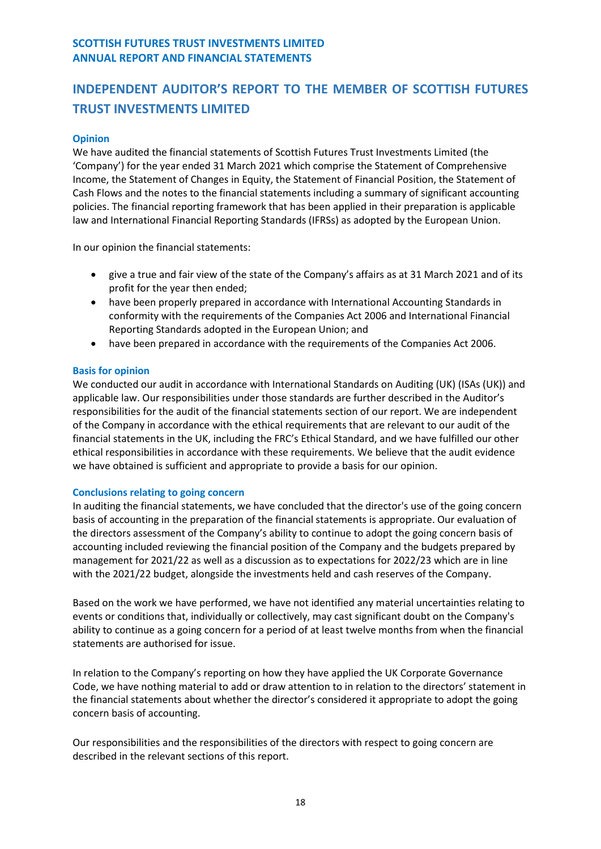## <span id="page-19-0"></span>**Opinion**

We have audited the financial statements of Scottish Futures Trust Investments Limited (the 'Company') for the year ended 31 March 2021 which comprise the Statement of Comprehensive Income, the Statement of Changes in Equity, the Statement of Financial Position, the Statement of Cash Flows and the notes to the financial statements including a summary of significant accounting policies. The financial reporting framework that has been applied in their preparation is applicable law and International Financial Reporting Standards (IFRSs) as adopted by the European Union.

In our opinion the financial statements:

- give a true and fair view of the state of the Company's affairs as at 31 March 2021 and of its profit for the year then ended;
- have been properly prepared in accordance with International Accounting Standards in conformity with the requirements of the Companies Act 2006 and International Financial Reporting Standards adopted in the European Union; and
- have been prepared in accordance with the requirements of the Companies Act 2006.

## **Basis for opinion**

We conducted our audit in accordance with International Standards on Auditing (UK) (ISAs (UK)) and applicable law. Our responsibilities under those standards are further described in the Auditor's responsibilities for the audit of the financial statements section of our report. We are independent of the Company in accordance with the ethical requirements that are relevant to our audit of the financial statements in the UK, including the FRC's Ethical Standard, and we have fulfilled our other ethical responsibilities in accordance with these requirements. We believe that the audit evidence we have obtained is sufficient and appropriate to provide a basis for our opinion.

## **Conclusions relating to going concern**

In auditing the financial statements, we have concluded that the director's use of the going concern basis of accounting in the preparation of the financial statements is appropriate. Our evaluation of the directors assessment of the Company's ability to continue to adopt the going concern basis of accounting included reviewing the financial position of the Company and the budgets prepared by management for 2021/22 as well as a discussion as to expectations for 2022/23 which are in line with the 2021/22 budget, alongside the investments held and cash reserves of the Company.

Based on the work we have performed, we have not identified any material uncertainties relating to events or conditions that, individually or collectively, may cast significant doubt on the Company's ability to continue as a going concern for a period of at least twelve months from when the financial statements are authorised for issue.

In relation to the Company's reporting on how they have applied the UK Corporate Governance Code, we have nothing material to add or draw attention to in relation to the directors' statement in the financial statements about whether the director's considered it appropriate to adopt the going concern basis of accounting.

Our responsibilities and the responsibilities of the directors with respect to going concern are described in the relevant sections of this report.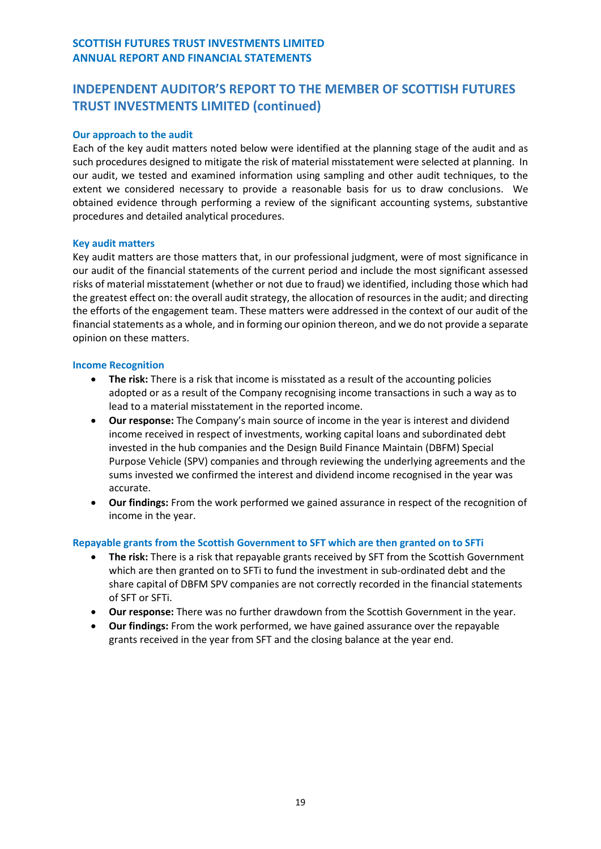## **Our approach to the audit**

Each of the key audit matters noted below were identified at the planning stage of the audit and as such procedures designed to mitigate the risk of material misstatement were selected at planning. In our audit, we tested and examined information using sampling and other audit techniques, to the extent we considered necessary to provide a reasonable basis for us to draw conclusions. We obtained evidence through performing a review of the significant accounting systems, substantive procedures and detailed analytical procedures.

## **Key audit matters**

Key audit matters are those matters that, in our professional judgment, were of most significance in our audit of the financial statements of the current period and include the most significant assessed risks of material misstatement (whether or not due to fraud) we identified, including those which had the greatest effect on: the overall audit strategy, the allocation of resources in the audit; and directing the efforts of the engagement team. These matters were addressed in the context of our audit of the financial statements as a whole, and in forming our opinion thereon, and we do not provide a separate opinion on these matters.

## **Income Recognition**

- **The risk:** There is a risk that income is misstated as a result of the accounting policies adopted or as a result of the Company recognising income transactions in such a way as to lead to a material misstatement in the reported income.
- **Our response:** The Company's main source of income in the year is interest and dividend income received in respect of investments, working capital loans and subordinated debt invested in the hub companies and the Design Build Finance Maintain (DBFM) Special Purpose Vehicle (SPV) companies and through reviewing the underlying agreements and the sums invested we confirmed the interest and dividend income recognised in the year was accurate.
- **Our findings:** From the work performed we gained assurance in respect of the recognition of income in the year.

## **Repayable grants from the Scottish Government to SFT which are then granted on to SFTi**

- **The risk:** There is a risk that repayable grants received by SFT from the Scottish Government which are then granted on to SFTi to fund the investment in sub-ordinated debt and the share capital of DBFM SPV companies are not correctly recorded in the financial statements of SFT or SFTi.
- **Our response:** There was no further drawdown from the Scottish Government in the year.
- **Our findings:** From the work performed, we have gained assurance over the repayable grants received in the year from SFT and the closing balance at the year end.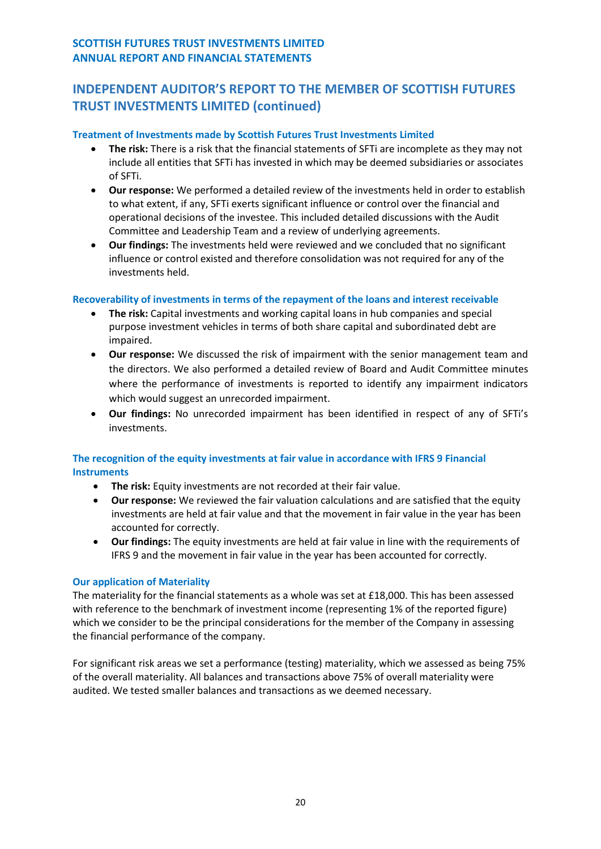## **Treatment of Investments made by Scottish Futures Trust Investments Limited**

- **The risk:** There is a risk that the financial statements of SFTi are incomplete as they may not include all entities that SFTi has invested in which may be deemed subsidiaries or associates of SFTi.
- **Our response:** We performed a detailed review of the investments held in order to establish to what extent, if any, SFTi exerts significant influence or control over the financial and operational decisions of the investee. This included detailed discussions with the Audit Committee and Leadership Team and a review of underlying agreements.
- **Our findings:** The investments held were reviewed and we concluded that no significant influence or control existed and therefore consolidation was not required for any of the investments held.

## **Recoverability of investments in terms of the repayment of the loans and interest receivable**

- **The risk:** Capital investments and working capital loans in hub companies and special purpose investment vehicles in terms of both share capital and subordinated debt are impaired.
- **Our response:** We discussed the risk of impairment with the senior management team and the directors. We also performed a detailed review of Board and Audit Committee minutes where the performance of investments is reported to identify any impairment indicators which would suggest an unrecorded impairment.
- **Our findings:** No unrecorded impairment has been identified in respect of any of SFTi's investments.

## **The recognition of the equity investments at fair value in accordance with IFRS 9 Financial Instruments**

- **The risk:** Equity investments are not recorded at their fair value.
- **Our response:** We reviewed the fair valuation calculations and are satisfied that the equity investments are held at fair value and that the movement in fair value in the year has been accounted for correctly.
- **Our findings:** The equity investments are held at fair value in line with the requirements of IFRS 9 and the movement in fair value in the year has been accounted for correctly.

## **Our application of Materiality**

The materiality for the financial statements as a whole was set at £18,000. This has been assessed with reference to the benchmark of investment income (representing 1% of the reported figure) which we consider to be the principal considerations for the member of the Company in assessing the financial performance of the company.

For significant risk areas we set a performance (testing) materiality, which we assessed as being 75% of the overall materiality. All balances and transactions above 75% of overall materiality were audited. We tested smaller balances and transactions as we deemed necessary.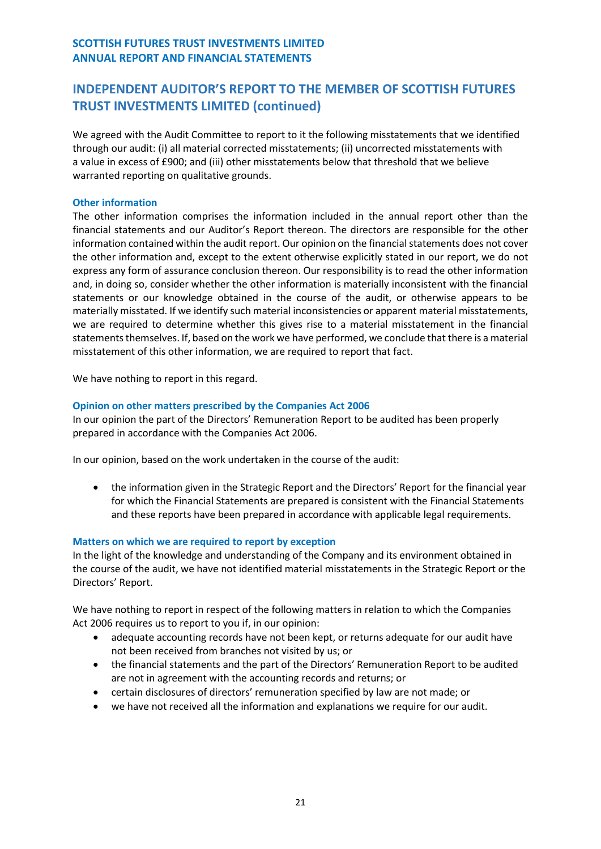We agreed with the Audit Committee to report to it the following misstatements that we identified through our audit: (i) all material corrected misstatements; (ii) uncorrected misstatements with a value in excess of £900; and (iii) other misstatements below that threshold that we believe warranted reporting on qualitative grounds.

#### **Other information**

The other information comprises the information included in the annual report other than the financial statements and our Auditor's Report thereon. The directors are responsible for the other information contained within the audit report. Our opinion on the financial statements does not cover the other information and, except to the extent otherwise explicitly stated in our report, we do not express any form of assurance conclusion thereon. Our responsibility is to read the other information and, in doing so, consider whether the other information is materially inconsistent with the financial statements or our knowledge obtained in the course of the audit, or otherwise appears to be materially misstated. If we identify such material inconsistencies or apparent material misstatements, we are required to determine whether this gives rise to a material misstatement in the financial statements themselves. If, based on the work we have performed, we conclude that there is a material misstatement of this other information, we are required to report that fact.

We have nothing to report in this regard.

## **Opinion on other matters prescribed by the Companies Act 2006**

In our opinion the part of the Directors' Remuneration Report to be audited has been properly prepared in accordance with the Companies Act 2006.

In our opinion, based on the work undertaken in the course of the audit:

• the information given in the Strategic Report and the Directors' Report for the financial year for which the Financial Statements are prepared is consistent with the Financial Statements and these reports have been prepared in accordance with applicable legal requirements.

## **Matters on which we are required to report by exception**

In the light of the knowledge and understanding of the Company and its environment obtained in the course of the audit, we have not identified material misstatements in the Strategic Report or the Directors' Report.

We have nothing to report in respect of the following matters in relation to which the Companies Act 2006 requires us to report to you if, in our opinion:

- adequate accounting records have not been kept, or returns adequate for our audit have not been received from branches not visited by us; or
- the financial statements and the part of the Directors' Remuneration Report to be audited are not in agreement with the accounting records and returns; or
- certain disclosures of directors' remuneration specified by law are not made; or
- we have not received all the information and explanations we require for our audit.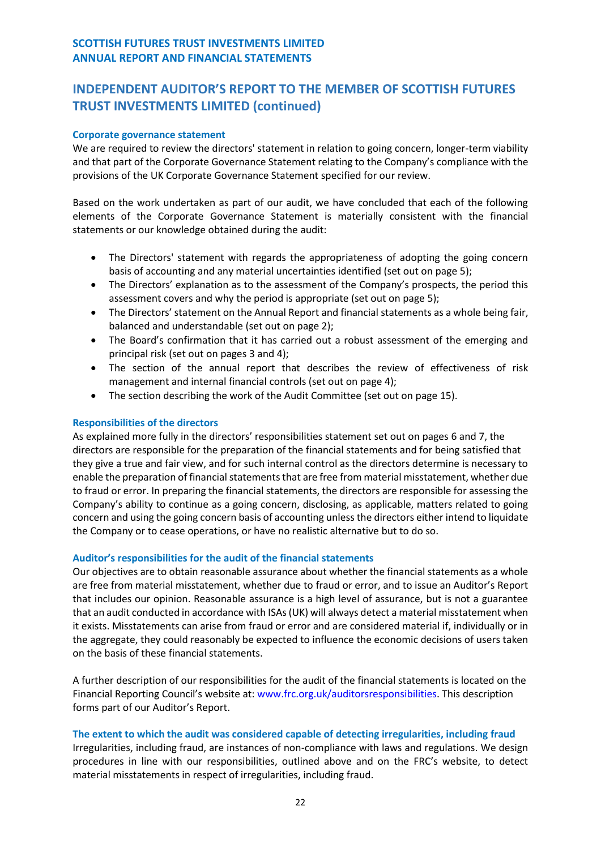## **Corporate governance statement**

We are required to review the directors' statement in relation to going concern, longer-term viability and that part of the Corporate Governance Statement relating to the Company's compliance with the provisions of the UK Corporate Governance Statement specified for our review.

Based on the work undertaken as part of our audit, we have concluded that each of the following elements of the Corporate Governance Statement is materially consistent with the financial statements or our knowledge obtained during the audit:

- The Directors' statement with regards the appropriateness of adopting the going concern basis of accounting and any material uncertainties identified (set out on page 5);
- The Directors' explanation as to the assessment of the Company's prospects, the period this assessment covers and why the period is appropriate (set out on page 5);
- The Directors' statement on the Annual Report and financial statements as a whole being fair, balanced and understandable (set out on page 2);
- The Board's confirmation that it has carried out a robust assessment of the emerging and principal risk (set out on pages 3 and 4);
- The section of the annual report that describes the review of effectiveness of risk management and internal financial controls (set out on page 4);
- The section describing the work of the Audit Committee (set out on page 15).

## **Responsibilities of the directors**

As explained more fully in the directors' responsibilities statement set out on pages 6 and 7, the directors are responsible for the preparation of the financial statements and for being satisfied that they give a true and fair view, and for such internal control as the directors determine is necessary to enable the preparation of financial statements that are free from material misstatement, whether due to fraud or error. In preparing the financial statements, the directors are responsible for assessing the Company's ability to continue as a going concern, disclosing, as applicable, matters related to going concern and using the going concern basis of accounting unless the directors either intend to liquidate the Company or to cease operations, or have no realistic alternative but to do so.

## **Auditor's responsibilities for the audit of the financial statements**

Our objectives are to obtain reasonable assurance about whether the financial statements as a whole are free from material misstatement, whether due to fraud or error, and to issue an Auditor's Report that includes our opinion. Reasonable assurance is a high level of assurance, but is not a guarantee that an audit conducted in accordance with ISAs (UK) will always detect a material misstatement when it exists. Misstatements can arise from fraud or error and are considered material if, individually or in the aggregate, they could reasonably be expected to influence the economic decisions of users taken on the basis of these financial statements.

A further description of our responsibilities for the audit of the financial statements is located on the Financial Reporting Council's website at: www.frc.org.uk/auditorsresponsibilities. This description forms part of our Auditor's Report.

## **The extent to which the audit was considered capable of detecting irregularities, including fraud**

Irregularities, including fraud, are instances of non-compliance with laws and regulations. We design procedures in line with our responsibilities, outlined above and on the FRC's website, to detect material misstatements in respect of irregularities, including fraud.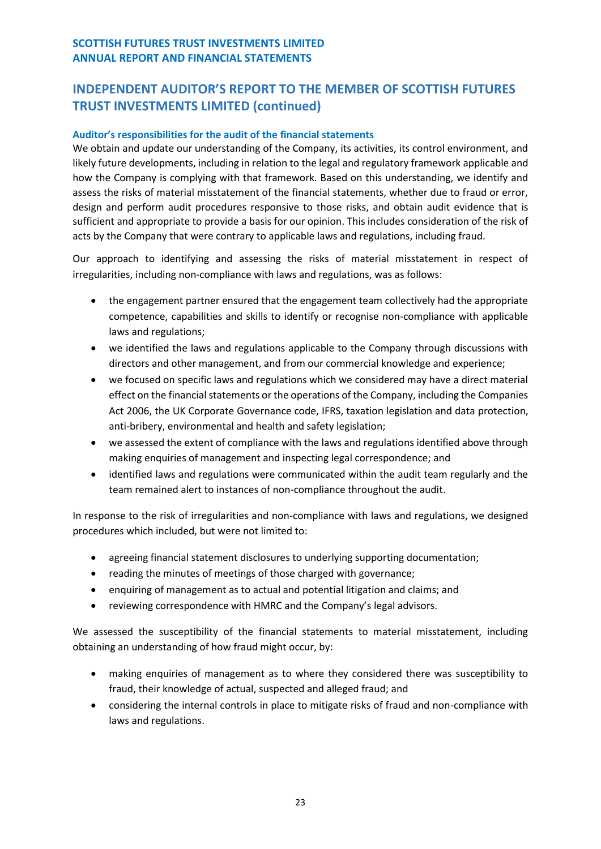## **Auditor's responsibilities for the audit of the financial statements**

We obtain and update our understanding of the Company, its activities, its control environment, and likely future developments, including in relation to the legal and regulatory framework applicable and how the Company is complying with that framework. Based on this understanding, we identify and assess the risks of material misstatement of the financial statements, whether due to fraud or error, design and perform audit procedures responsive to those risks, and obtain audit evidence that is sufficient and appropriate to provide a basis for our opinion. This includes consideration of the risk of acts by the Company that were contrary to applicable laws and regulations, including fraud.

Our approach to identifying and assessing the risks of material misstatement in respect of irregularities, including non-compliance with laws and regulations, was as follows:

- the engagement partner ensured that the engagement team collectively had the appropriate competence, capabilities and skills to identify or recognise non-compliance with applicable laws and regulations;
- we identified the laws and regulations applicable to the Company through discussions with directors and other management, and from our commercial knowledge and experience;
- we focused on specific laws and regulations which we considered may have a direct material effect on the financial statements or the operations of the Company, including the Companies Act 2006, the UK Corporate Governance code, IFRS, taxation legislation and data protection, anti-bribery, environmental and health and safety legislation;
- we assessed the extent of compliance with the laws and regulations identified above through making enquiries of management and inspecting legal correspondence; and
- identified laws and regulations were communicated within the audit team regularly and the team remained alert to instances of non-compliance throughout the audit.

In response to the risk of irregularities and non-compliance with laws and regulations, we designed procedures which included, but were not limited to:

- agreeing financial statement disclosures to underlying supporting documentation;
- reading the minutes of meetings of those charged with governance;
- enquiring of management as to actual and potential litigation and claims; and
- reviewing correspondence with HMRC and the Company's legal advisors.

We assessed the susceptibility of the financial statements to material misstatement, including obtaining an understanding of how fraud might occur, by:

- making enquiries of management as to where they considered there was susceptibility to fraud, their knowledge of actual, suspected and alleged fraud; and
- considering the internal controls in place to mitigate risks of fraud and non-compliance with laws and regulations.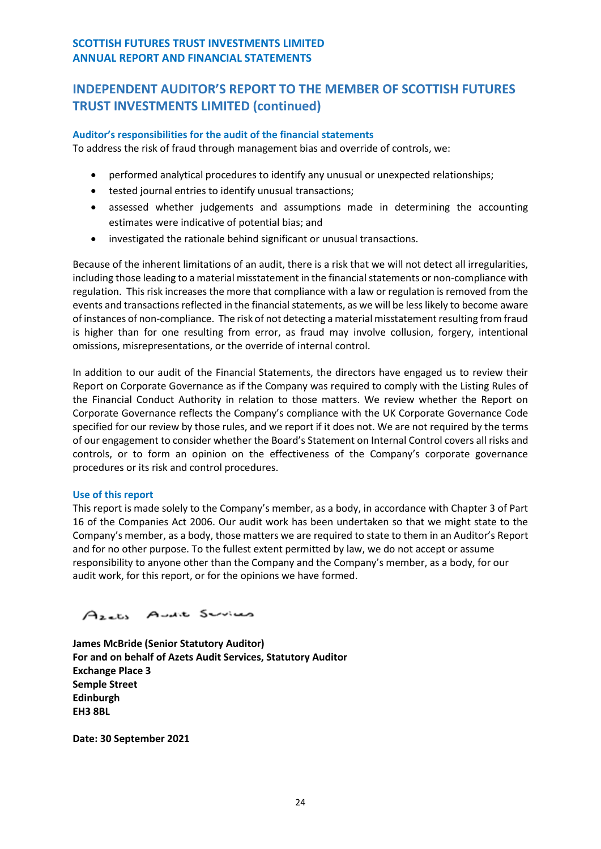## **Auditor's responsibilities for the audit of the financial statements**

To address the risk of fraud through management bias and override of controls, we:

- performed analytical procedures to identify any unusual or unexpected relationships;
- tested journal entries to identify unusual transactions;
- assessed whether judgements and assumptions made in determining the accounting estimates were indicative of potential bias; and
- investigated the rationale behind significant or unusual transactions.

Because of the inherent limitations of an audit, there is a risk that we will not detect all irregularities, including those leading to a material misstatement in the financial statements or non-compliance with regulation. This risk increases the more that compliance with a law or regulation is removed from the events and transactions reflected in the financial statements, as we will be less likely to become aware of instances of non-compliance. The risk of not detecting a material misstatement resulting from fraud is higher than for one resulting from error, as fraud may involve collusion, forgery, intentional omissions, misrepresentations, or the override of internal control.

In addition to our audit of the Financial Statements, the directors have engaged us to review their Report on Corporate Governance as if the Company was required to comply with the Listing Rules of the Financial Conduct Authority in relation to those matters. We review whether the Report on Corporate Governance reflects the Company's compliance with the UK Corporate Governance Code specified for our review by those rules, and we report if it does not. We are not required by the terms of our engagement to consider whether the Board's Statement on Internal Control covers all risks and controls, or to form an opinion on the effectiveness of the Company's corporate governance procedures or its risk and control procedures.

## **Use of this report**

This report is made solely to the Company's member, as a body, in accordance with Chapter 3 of Part 16 of the Companies Act 2006. Our audit work has been undertaken so that we might state to the Company's member, as a body, those matters we are required to state to them in an Auditor's Report and for no other purpose. To the fullest extent permitted by law, we do not accept or assume responsibility to anyone other than the Company and the Company's member, as a body, for our audit work, for this report, or for the opinions we have formed.

# Azets Avait Services

**James McBride (Senior Statutory Auditor) For and on behalf of Azets Audit Services, Statutory Auditor Exchange Place 3 Semple Street Edinburgh EH3 8BL**

<span id="page-25-0"></span>**Date: 30 September 2021**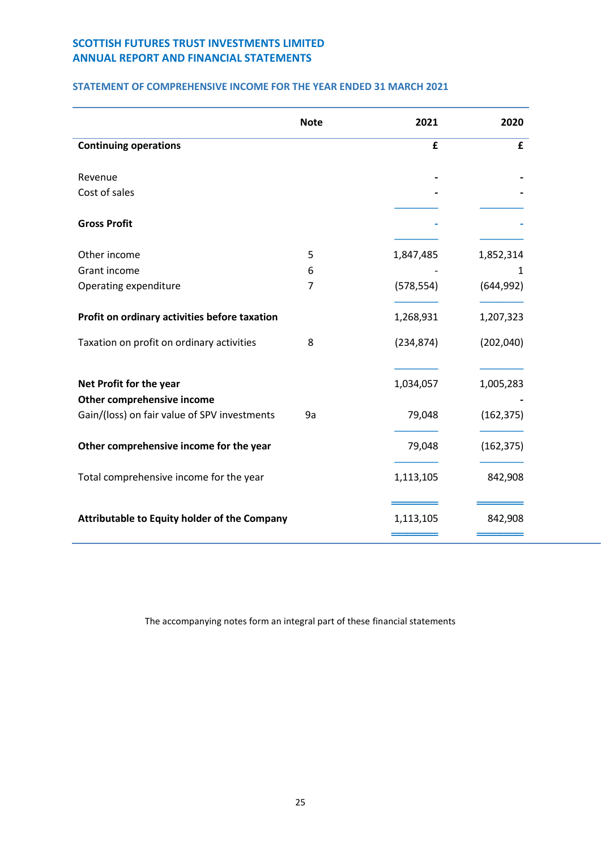## **STATEMENT OF COMPREHENSIVE INCOME FOR THE YEAR ENDED 31 MARCH 2021**

|                                               | <b>Note</b> | 2021       | 2020       |
|-----------------------------------------------|-------------|------------|------------|
| <b>Continuing operations</b>                  |             | £          | £          |
| Revenue                                       |             |            |            |
| Cost of sales                                 |             |            |            |
| <b>Gross Profit</b>                           |             |            |            |
| Other income                                  | 5           | 1,847,485  | 1,852,314  |
| Grant income                                  | 6           |            | 1          |
| Operating expenditure                         | 7           | (578, 554) | (644, 992) |
| Profit on ordinary activities before taxation |             | 1,268,931  | 1,207,323  |
| Taxation on profit on ordinary activities     | 8           | (234, 874) | (202,040)  |
| Net Profit for the year                       |             | 1,034,057  | 1,005,283  |
| Other comprehensive income                    |             |            |            |
| Gain/(loss) on fair value of SPV investments  | 9a          | 79,048     | (162, 375) |
| Other comprehensive income for the year       |             | 79,048     | (162, 375) |
| Total comprehensive income for the year       |             | 1,113,105  | 842,908    |
| Attributable to Equity holder of the Company  |             | 1,113,105  | 842,908    |

The accompanying notes form an integral part of these financial statements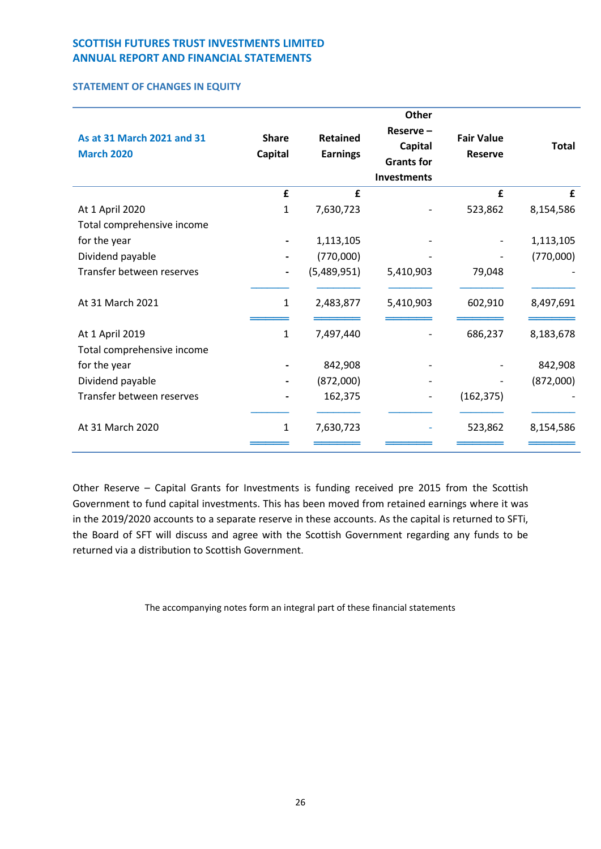## **STATEMENT OF CHANGES IN EQUITY**

| As at 31 March 2021 and 31<br><b>March 2020</b> | <b>Share</b><br>Capital | <b>Retained</b><br><b>Earnings</b> | <b>Other</b><br>Reserve-<br>Capital<br><b>Grants for</b><br><b>Investments</b> | <b>Fair Value</b><br><b>Reserve</b> | <b>Total</b> |
|-------------------------------------------------|-------------------------|------------------------------------|--------------------------------------------------------------------------------|-------------------------------------|--------------|
|                                                 | £                       | £                                  |                                                                                | £                                   | £            |
| At 1 April 2020                                 | $\mathbf{1}$            | 7,630,723                          |                                                                                | 523,862                             | 8,154,586    |
| Total comprehensive income                      |                         |                                    |                                                                                |                                     |              |
| for the year                                    |                         | 1,113,105                          |                                                                                |                                     | 1,113,105    |
| Dividend payable                                |                         | (770,000)                          |                                                                                |                                     | (770,000)    |
| Transfer between reserves                       |                         | (5,489,951)                        | 5,410,903                                                                      | 79,048                              |              |
|                                                 |                         |                                    |                                                                                |                                     |              |
| At 31 March 2021                                | 1                       | 2,483,877                          | 5,410,903                                                                      | 602,910                             | 8,497,691    |
|                                                 |                         |                                    |                                                                                |                                     |              |
| At 1 April 2019                                 | 1                       | 7,497,440                          |                                                                                | 686,237                             | 8,183,678    |
| Total comprehensive income                      |                         |                                    |                                                                                |                                     |              |
| for the year                                    |                         | 842,908                            |                                                                                |                                     | 842,908      |
| Dividend payable                                |                         | (872,000)                          |                                                                                |                                     | (872,000)    |
| Transfer between reserves                       |                         | 162,375                            |                                                                                | (162, 375)                          |              |
|                                                 |                         |                                    |                                                                                |                                     |              |
| At 31 March 2020                                | 1                       | 7,630,723                          |                                                                                | 523,862                             | 8,154,586    |
|                                                 |                         |                                    |                                                                                |                                     |              |

Other Reserve – Capital Grants for Investments is funding received pre 2015 from the Scottish Government to fund capital investments. This has been moved from retained earnings where it was in the 2019/2020 accounts to a separate reserve in these accounts. As the capital is returned to SFTi, the Board of SFT will discuss and agree with the Scottish Government regarding any funds to be returned via a distribution to Scottish Government.

The accompanying notes form an integral part of these financial statements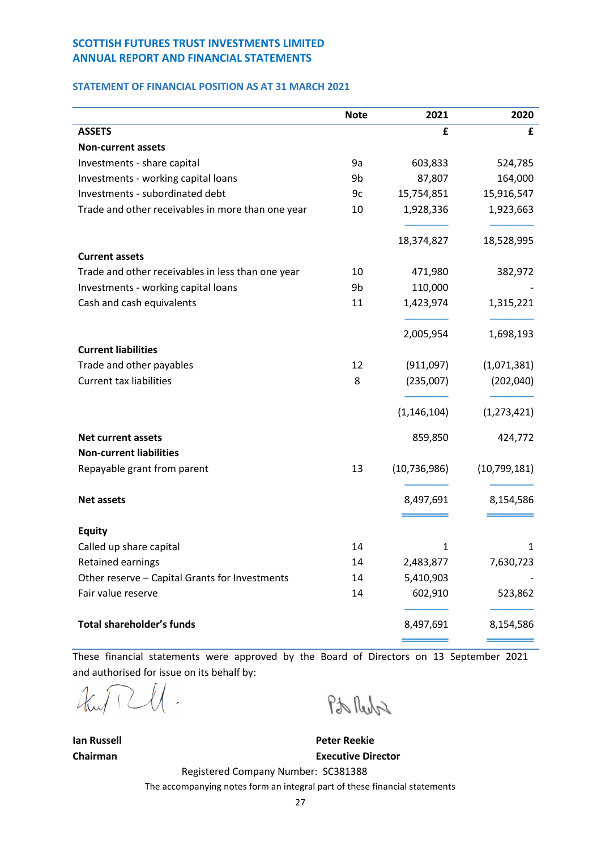### <span id="page-28-0"></span>**STATEMENT OF FINANCIAL POSITION AS AT 31 MARCH 2021**

|                                                   | <b>Note</b> | 2021           | 2020          |
|---------------------------------------------------|-------------|----------------|---------------|
| <b>ASSETS</b>                                     |             | £              | £             |
| <b>Non-current assets</b>                         |             |                |               |
| Investments - share capital                       | 9a          | 603,833        | 524,785       |
| Investments - working capital loans               | 9b          | 87,807         | 164,000       |
| Investments - subordinated debt                   | 9c          | 15,754,851     | 15,916,547    |
| Trade and other receivables in more than one year | 10          | 1,928,336      | 1,923,663     |
|                                                   |             | 18,374,827     | 18,528,995    |
| <b>Current assets</b>                             |             |                |               |
| Trade and other receivables in less than one year | 10          | 471,980        | 382,972       |
| Investments - working capital loans               | 9b          | 110,000        |               |
| Cash and cash equivalents                         | 11          | 1,423,974      | 1,315,221     |
|                                                   |             | 2,005,954      | 1,698,193     |
| <b>Current liabilities</b>                        |             |                |               |
| Trade and other payables                          | 12          | (911,097)      | (1,071,381)   |
| <b>Current tax liabilities</b>                    | 8           | (235,007)      | (202,040)     |
|                                                   |             | (1, 146, 104)  | (1, 273, 421) |
| <b>Net current assets</b>                         |             | 859,850        | 424,772       |
| <b>Non-current liabilities</b>                    |             |                |               |
| Repayable grant from parent                       | 13          | (10, 736, 986) | (10,799,181)  |
| <b>Net assets</b>                                 |             | 8,497,691      | 8,154,586     |
|                                                   |             |                |               |
| <b>Equity</b>                                     |             |                |               |
| Called up share capital                           | 14          | $\mathbf{1}$   | 1             |
| Retained earnings                                 | 14          | 2,483,877      | 7,630,723     |
| Other reserve - Capital Grants for Investments    | 14          | 5,410,903      |               |
| Fair value reserve                                | 14          | 602,910        | 523,862       |
| <b>Total shareholder's funds</b>                  |             | 8,497,691      | 8,154,586     |
|                                                   |             |                |               |

These financial statements were approved by the Board of Directors on 13 September 2021 and authorised for issue on its behalf by:

 $\frac{1}{2}$ 

Pto Reche

**Ian Russell Peter Reekie Chairman Executive Director**

Registered Company Number: SC381388 The accompanying notes form an integral part of these financial statements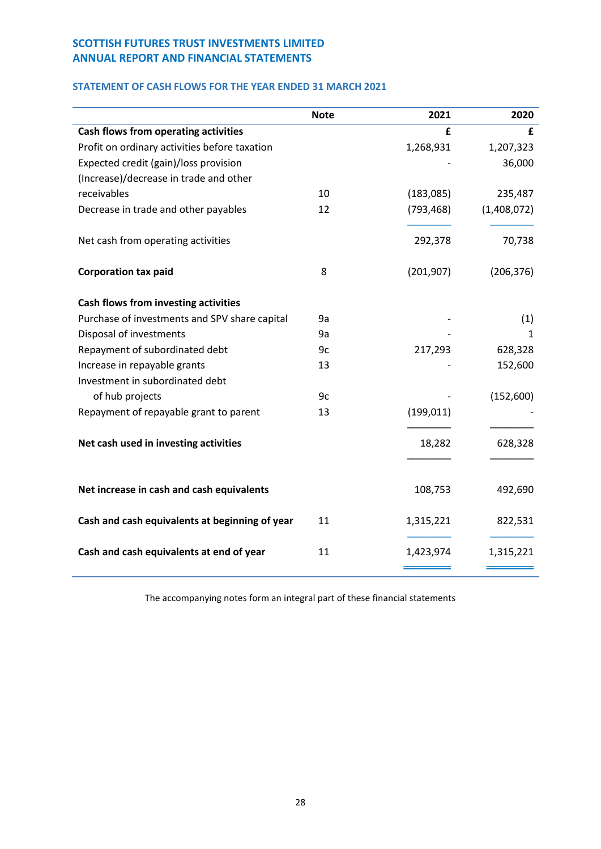## <span id="page-29-0"></span>**STATEMENT OF CASH FLOWS FOR THE YEAR ENDED 31 MARCH 2021**

|                                                | <b>Note</b> | 2021       | 2020        |
|------------------------------------------------|-------------|------------|-------------|
| Cash flows from operating activities           |             | £          | £           |
| Profit on ordinary activities before taxation  |             | 1,268,931  | 1,207,323   |
| Expected credit (gain)/loss provision          |             |            | 36,000      |
| (Increase)/decrease in trade and other         |             |            |             |
| receivables                                    | 10          | (183,085)  | 235,487     |
| Decrease in trade and other payables           | 12          | (793, 468) | (1,408,072) |
| Net cash from operating activities             |             | 292,378    | 70,738      |
| <b>Corporation tax paid</b>                    | 8           | (201, 907) | (206, 376)  |
| Cash flows from investing activities           |             |            |             |
| Purchase of investments and SPV share capital  | 9a          |            | (1)         |
| Disposal of investments                        | 9a          |            | 1           |
| Repayment of subordinated debt                 | 9c          | 217,293    | 628,328     |
| Increase in repayable grants                   | 13          |            | 152,600     |
| Investment in subordinated debt                |             |            |             |
| of hub projects                                | 9c          |            | (152,600)   |
| Repayment of repayable grant to parent         | 13          | (199, 011) |             |
| Net cash used in investing activities          |             | 18,282     | 628,328     |
|                                                |             |            |             |
| Net increase in cash and cash equivalents      |             | 108,753    | 492,690     |
| Cash and cash equivalents at beginning of year | 11          | 1,315,221  | 822,531     |
| Cash and cash equivalents at end of year       | 11          | 1,423,974  | 1,315,221   |

The accompanying notes form an integral part of these financial statements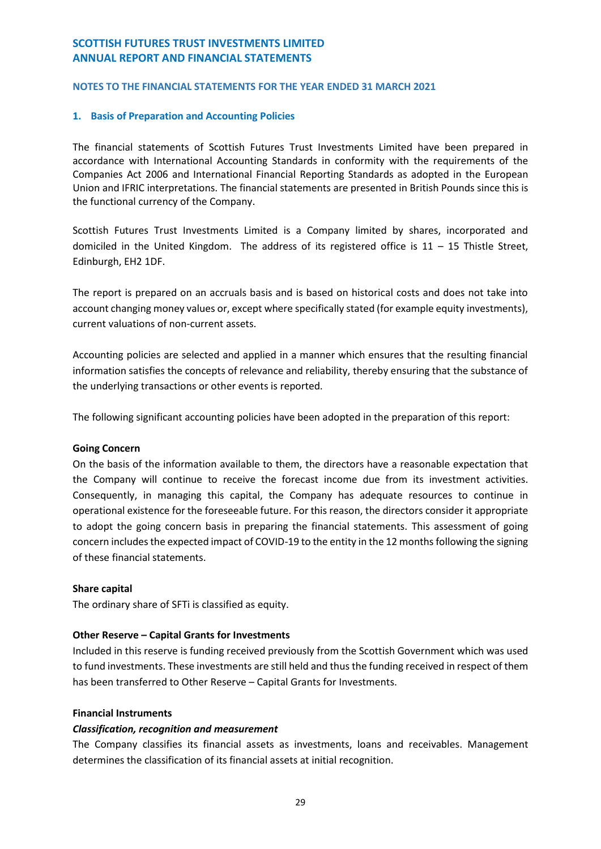## <span id="page-30-0"></span>**NOTES TO THE FINANCIAL STATEMENTS FOR THE YEAR ENDED 31 MARCH 2021**

## **1. Basis of Preparation and Accounting Policies**

The financial statements of Scottish Futures Trust Investments Limited have been prepared in accordance with International Accounting Standards in conformity with the requirements of the Companies Act 2006 and International Financial Reporting Standards as adopted in the European Union and IFRIC interpretations. The financial statements are presented in British Pounds since this is the functional currency of the Company.

Scottish Futures Trust Investments Limited is a Company limited by shares, incorporated and domiciled in the United Kingdom. The address of its registered office is  $11 - 15$  Thistle Street, Edinburgh, EH2 1DF.

The report is prepared on an accruals basis and is based on historical costs and does not take into account changing money values or, except where specifically stated (for example equity investments), current valuations of non-current assets.

Accounting policies are selected and applied in a manner which ensures that the resulting financial information satisfies the concepts of relevance and reliability, thereby ensuring that the substance of the underlying transactions or other events is reported.

The following significant accounting policies have been adopted in the preparation of this report:

## **Going Concern**

On the basis of the information available to them, the directors have a reasonable expectation that the Company will continue to receive the forecast income due from its investment activities. Consequently, in managing this capital, the Company has adequate resources to continue in operational existence for the foreseeable future. For this reason, the directors consider it appropriate to adopt the going concern basis in preparing the financial statements. This assessment of going concern includes the expected impact of COVID-19 to the entity in the 12 months following the signing of these financial statements.

## **Share capital**

The ordinary share of SFTi is classified as equity.

## **Other Reserve – Capital Grants for Investments**

Included in this reserve is funding received previously from the Scottish Government which was used to fund investments. These investments are still held and thus the funding received in respect of them has been transferred to Other Reserve – Capital Grants for Investments.

## **Financial Instruments**

## *Classification, recognition and measurement*

The Company classifies its financial assets as investments, loans and receivables. Management determines the classification of its financial assets at initial recognition.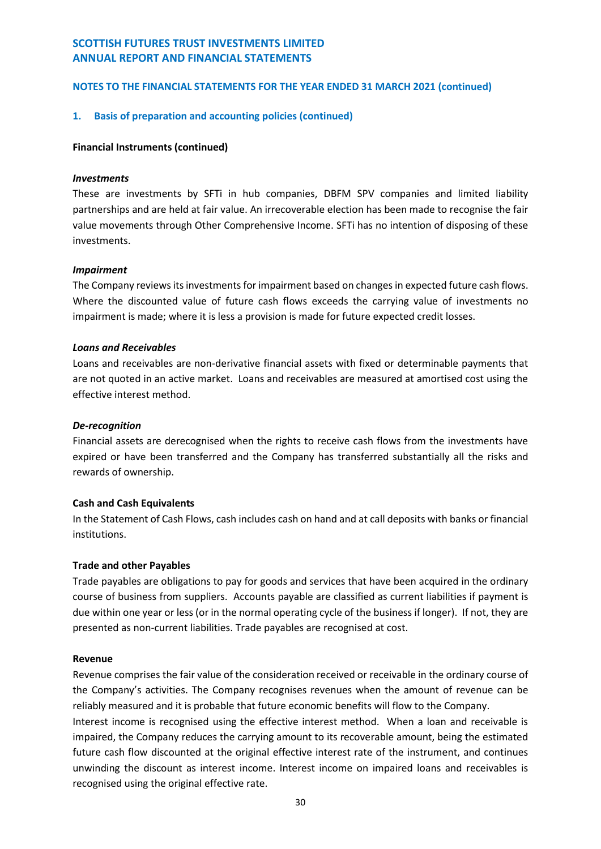## **NOTES TO THE FINANCIAL STATEMENTS FOR THE YEAR ENDED 31 MARCH 2021 (continued)**

## **1. Basis of preparation and accounting policies (continued)**

#### **Financial Instruments (continued)**

#### *Investments*

These are investments by SFTi in hub companies, DBFM SPV companies and limited liability partnerships and are held at fair value. An irrecoverable election has been made to recognise the fair value movements through Other Comprehensive Income. SFTi has no intention of disposing of these investments.

#### *Impairment*

The Company reviews its investments for impairment based on changes in expected future cash flows. Where the discounted value of future cash flows exceeds the carrying value of investments no impairment is made; where it is less a provision is made for future expected credit losses.

#### *Loans and Receivables*

Loans and receivables are non-derivative financial assets with fixed or determinable payments that are not quoted in an active market. Loans and receivables are measured at amortised cost using the effective interest method.

#### *De-recognition*

Financial assets are derecognised when the rights to receive cash flows from the investments have expired or have been transferred and the Company has transferred substantially all the risks and rewards of ownership.

## **Cash and Cash Equivalents**

In the Statement of Cash Flows, cash includes cash on hand and at call deposits with banks or financial institutions.

## **Trade and other Payables**

Trade payables are obligations to pay for goods and services that have been acquired in the ordinary course of business from suppliers. Accounts payable are classified as current liabilities if payment is due within one year or less (or in the normal operating cycle of the business if longer). If not, they are presented as non-current liabilities. Trade payables are recognised at cost.

#### **Revenue**

Revenue comprises the fair value of the consideration received or receivable in the ordinary course of the Company's activities. The Company recognises revenues when the amount of revenue can be reliably measured and it is probable that future economic benefits will flow to the Company.

Interest income is recognised using the effective interest method. When a loan and receivable is impaired, the Company reduces the carrying amount to its recoverable amount, being the estimated future cash flow discounted at the original effective interest rate of the instrument, and continues unwinding the discount as interest income. Interest income on impaired loans and receivables is recognised using the original effective rate.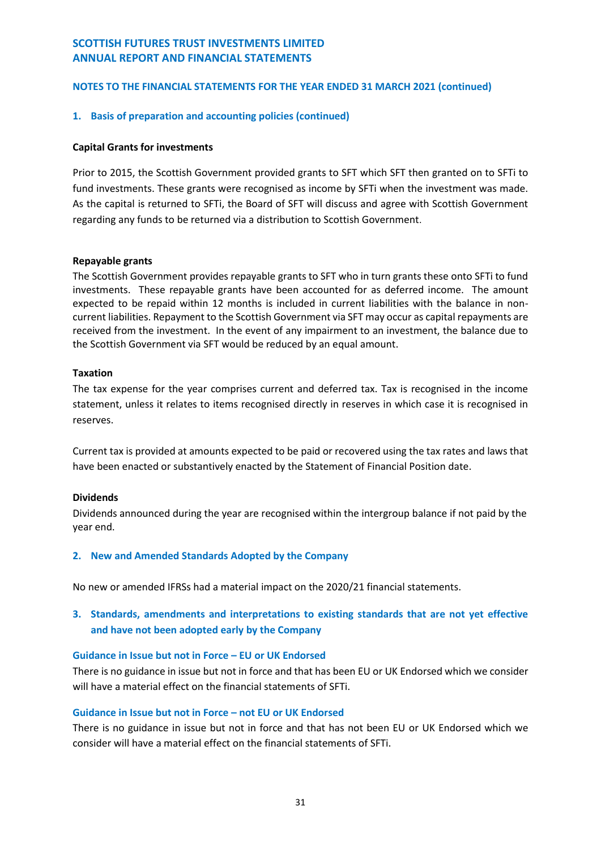## **1. Basis of preparation and accounting policies (continued)**

#### **Capital Grants for investments**

Prior to 2015, the Scottish Government provided grants to SFT which SFT then granted on to SFTi to fund investments. These grants were recognised as income by SFTi when the investment was made. As the capital is returned to SFTi, the Board of SFT will discuss and agree with Scottish Government regarding any funds to be returned via a distribution to Scottish Government.

#### **Repayable grants**

The Scottish Government provides repayable grants to SFT who in turn grants these onto SFTi to fund investments. These repayable grants have been accounted for as deferred income. The amount expected to be repaid within 12 months is included in current liabilities with the balance in noncurrent liabilities. Repayment to the Scottish Government via SFT may occur as capital repayments are received from the investment. In the event of any impairment to an investment, the balance due to the Scottish Government via SFT would be reduced by an equal amount.

#### **Taxation**

The tax expense for the year comprises current and deferred tax. Tax is recognised in the income statement, unless it relates to items recognised directly in reserves in which case it is recognised in reserves.

Current tax is provided at amounts expected to be paid or recovered using the tax rates and laws that have been enacted or substantively enacted by the Statement of Financial Position date.

#### **Dividends**

Dividends announced during the year are recognised within the intergroup balance if not paid by the year end.

## **2. New and Amended Standards Adopted by the Company**

No new or amended IFRSs had a material impact on the 2020/21 financial statements.

# **3. Standards, amendments and interpretations to existing standards that are not yet effective and have not been adopted early by the Company**

#### **Guidance in Issue but not in Force – EU or UK Endorsed**

There is no guidance in issue but not in force and that has been EU or UK Endorsed which we consider will have a material effect on the financial statements of SFTi.

## **Guidance in Issue but not in Force – not EU or UK Endorsed**

There is no guidance in issue but not in force and that has not been EU or UK Endorsed which we consider will have a material effect on the financial statements of SFTi.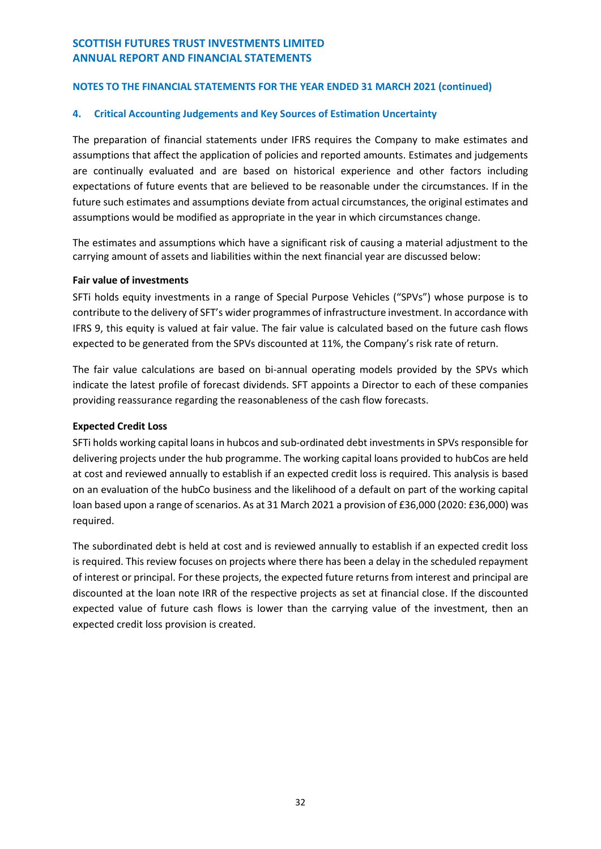## **NOTES TO THE FINANCIAL STATEMENTS FOR THE YEAR ENDED 31 MARCH 2021 (continued)**

## **4. Critical Accounting Judgements and Key Sources of Estimation Uncertainty**

The preparation of financial statements under IFRS requires the Company to make estimates and assumptions that affect the application of policies and reported amounts. Estimates and judgements are continually evaluated and are based on historical experience and other factors including expectations of future events that are believed to be reasonable under the circumstances. If in the future such estimates and assumptions deviate from actual circumstances, the original estimates and assumptions would be modified as appropriate in the year in which circumstances change.

The estimates and assumptions which have a significant risk of causing a material adjustment to the carrying amount of assets and liabilities within the next financial year are discussed below:

## **Fair value of investments**

SFTi holds equity investments in a range of Special Purpose Vehicles ("SPVs") whose purpose is to contribute to the delivery of SFT's wider programmes of infrastructure investment. In accordance with IFRS 9, this equity is valued at fair value. The fair value is calculated based on the future cash flows expected to be generated from the SPVs discounted at 11%, the Company's risk rate of return.

The fair value calculations are based on bi-annual operating models provided by the SPVs which indicate the latest profile of forecast dividends. SFT appoints a Director to each of these companies providing reassurance regarding the reasonableness of the cash flow forecasts.

## **Expected Credit Loss**

SFTi holds working capital loans in hubcos and sub-ordinated debt investments in SPVs responsible for delivering projects under the hub programme. The working capital loans provided to hubCos are held at cost and reviewed annually to establish if an expected credit loss is required. This analysis is based on an evaluation of the hubCo business and the likelihood of a default on part of the working capital loan based upon a range of scenarios. As at 31 March 2021 a provision of £36,000 (2020: £36,000) was required.

The subordinated debt is held at cost and is reviewed annually to establish if an expected credit loss is required. This review focuses on projects where there has been a delay in the scheduled repayment of interest or principal. For these projects, the expected future returns from interest and principal are discounted at the loan note IRR of the respective projects as set at financial close. If the discounted expected value of future cash flows is lower than the carrying value of the investment, then an expected credit loss provision is created.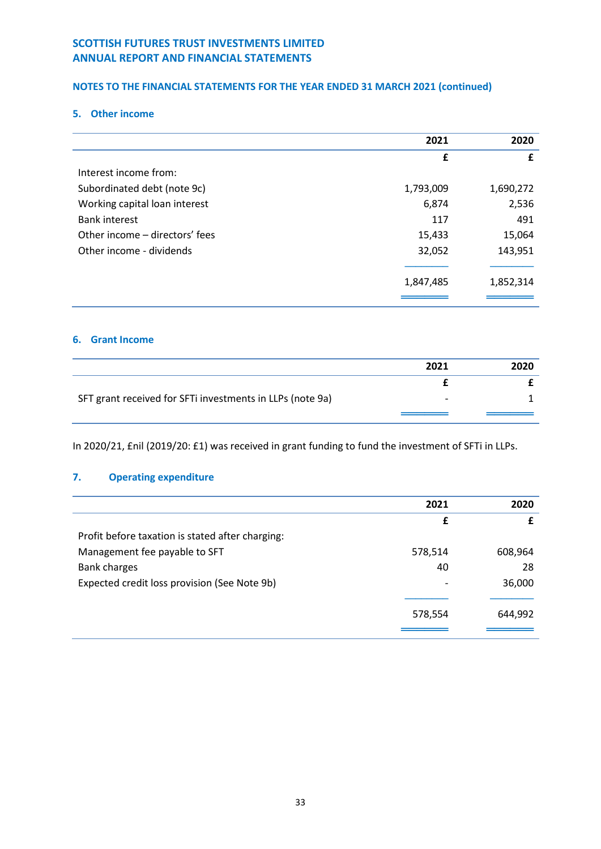# **NOTES TO THE FINANCIAL STATEMENTS FOR THE YEAR ENDED 31 MARCH 2021 (continued)**

### **5. Other income**

|                                | 2021      | 2020      |
|--------------------------------|-----------|-----------|
|                                | £         | £         |
| Interest income from:          |           |           |
| Subordinated debt (note 9c)    | 1,793,009 | 1,690,272 |
| Working capital loan interest  | 6,874     | 2,536     |
| <b>Bank interest</b>           | 117       | 491       |
| Other income – directors' fees | 15,433    | 15,064    |
| Other income - dividends       | 32,052    | 143,951   |
|                                |           |           |
|                                | 1,847,485 | 1,852,314 |
|                                |           |           |

## **6. Grant Income**

|                                                           | 2021 | 2020 |
|-----------------------------------------------------------|------|------|
|                                                           |      |      |
| SFT grant received for SFTi investments in LLPs (note 9a) | -    |      |
|                                                           |      |      |

In 2020/21, £nil (2019/20: £1) was received in grant funding to fund the investment of SFTi in LLPs.

## **7. Operating expenditure**

|                                                  | 2021    | 2020    |
|--------------------------------------------------|---------|---------|
|                                                  | £       |         |
| Profit before taxation is stated after charging: |         |         |
| Management fee payable to SFT                    | 578,514 | 608,964 |
| <b>Bank charges</b>                              | 40      | 28      |
| Expected credit loss provision (See Note 9b)     |         | 36,000  |
|                                                  |         |         |
|                                                  | 578,554 | 644,992 |
|                                                  |         |         |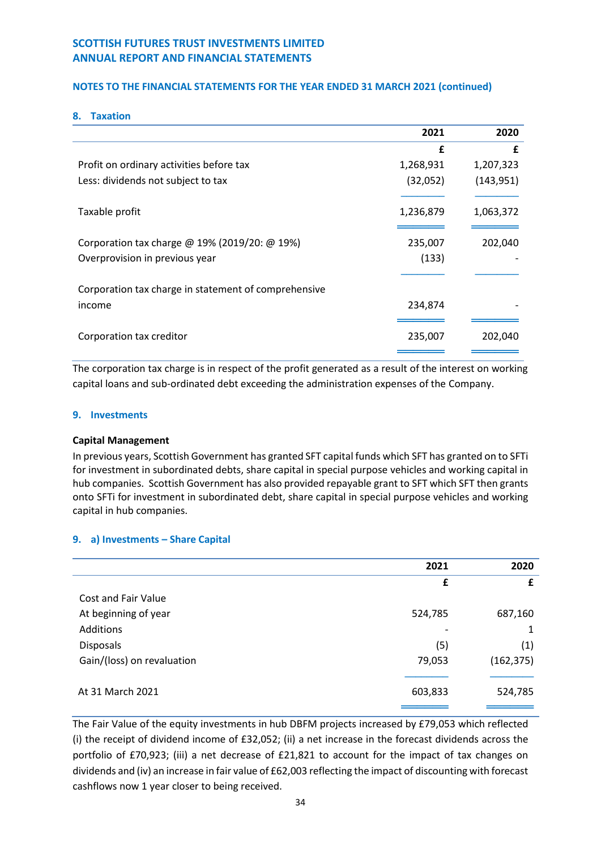## **NOTES TO THE FINANCIAL STATEMENTS FOR THE YEAR ENDED 31 MARCH 2021 (continued)**

#### **8. Taxation**

|                                                      | 2021      | 2020       |
|------------------------------------------------------|-----------|------------|
|                                                      | £         | £          |
| Profit on ordinary activities before tax             | 1,268,931 | 1,207,323  |
| Less: dividends not subject to tax                   | (32,052)  | (143, 951) |
|                                                      |           |            |
| Taxable profit                                       | 1,236,879 | 1,063,372  |
|                                                      |           |            |
| Corporation tax charge @ 19% (2019/20: @ 19%)        | 235,007   | 202,040    |
| Overprovision in previous year                       | (133)     |            |
|                                                      |           |            |
| Corporation tax charge in statement of comprehensive |           |            |
| income                                               | 234,874   |            |
|                                                      |           |            |
| Corporation tax creditor                             | 235,007   | 202,040    |
|                                                      |           |            |

The corporation tax charge is in respect of the profit generated as a result of the interest on working capital loans and sub-ordinated debt exceeding the administration expenses of the Company.

#### **9. Investments**

#### **Capital Management**

In previous years, Scottish Government has granted SFT capital funds which SFT has granted on to SFTi for investment in subordinated debts, share capital in special purpose vehicles and working capital in hub companies. Scottish Government has also provided repayable grant to SFT which SFT then grants onto SFTi for investment in subordinated debt, share capital in special purpose vehicles and working capital in hub companies.

## **9. a) Investments – Share Capital**

|                            | 2021    | 2020       |
|----------------------------|---------|------------|
|                            | £       | £          |
| <b>Cost and Fair Value</b> |         |            |
| At beginning of year       | 524,785 | 687,160    |
| Additions                  |         | 1          |
| <b>Disposals</b>           | (5)     | (1)        |
| Gain/(loss) on revaluation | 79,053  | (162, 375) |
|                            |         |            |
| At 31 March 2021           | 603,833 | 524,785    |
|                            |         |            |

The Fair Value of the equity investments in hub DBFM projects increased by £79,053 which reflected (i) the receipt of dividend income of £32,052; (ii) a net increase in the forecast dividends across the portfolio of £70,923; (iii) a net decrease of £21,821 to account for the impact of tax changes on dividends and (iv) an increase in fair value of £62,003 reflecting the impact of discounting with forecast cashflows now 1 year closer to being received.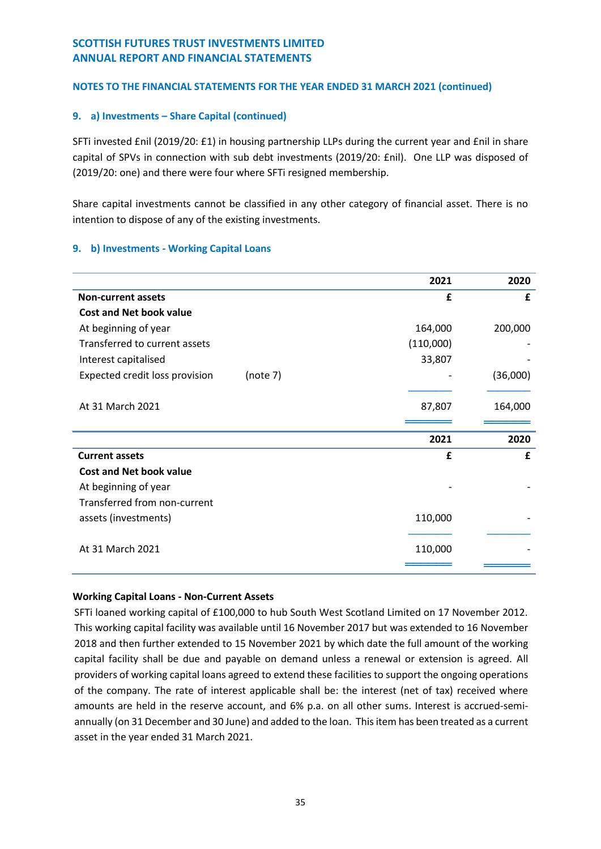## **NOTES TO THE FINANCIAL STATEMENTS FOR THE YEAR ENDED 31 MARCH 2021 (continued)**

## **9. a) Investments – Share Capital (continued)**

SFTi invested £nil (2019/20: £1) in housing partnership LLPs during the current year and £nil in share capital of SPVs in connection with sub debt investments (2019/20: £nil). One LLP was disposed of (2019/20: one) and there were four where SFTi resigned membership.

Share capital investments cannot be classified in any other category of financial asset. There is no intention to dispose of any of the existing investments.

## **9. b) Investments - Working Capital Loans**

|                                            | 2021      | 2020     |
|--------------------------------------------|-----------|----------|
| <b>Non-current assets</b>                  | £         | £        |
| <b>Cost and Net book value</b>             |           |          |
| At beginning of year                       | 164,000   | 200,000  |
| Transferred to current assets              | (110,000) |          |
| Interest capitalised                       | 33,807    |          |
| Expected credit loss provision<br>(note 7) |           | (36,000) |
|                                            |           |          |
| At 31 March 2021                           | 87,807    | 164,000  |
|                                            |           |          |
|                                            |           |          |
|                                            | 2021      | 2020     |
| <b>Current assets</b>                      | £         | £        |
| <b>Cost and Net book value</b>             |           |          |
| At beginning of year                       |           |          |
| Transferred from non-current               |           |          |
| assets (investments)                       | 110,000   |          |
|                                            |           |          |
| At 31 March 2021                           | 110,000   |          |

## **Working Capital Loans - Non-Current Assets**

SFTi loaned working capital of £100,000 to hub South West Scotland Limited on 17 November 2012. This working capital facility was available until 16 November 2017 but was extended to 16 November 2018 and then further extended to 15 November 2021 by which date the full amount of the working capital facility shall be due and payable on demand unless a renewal or extension is agreed. All providers of working capital loans agreed to extend these facilities to support the ongoing operations of the company. The rate of interest applicable shall be: the interest (net of tax) received where amounts are held in the reserve account, and 6% p.a. on all other sums. Interest is accrued-semiannually (on 31 December and 30 June) and added to the loan. This item has been treated as a current asset in the year ended 31 March 2021.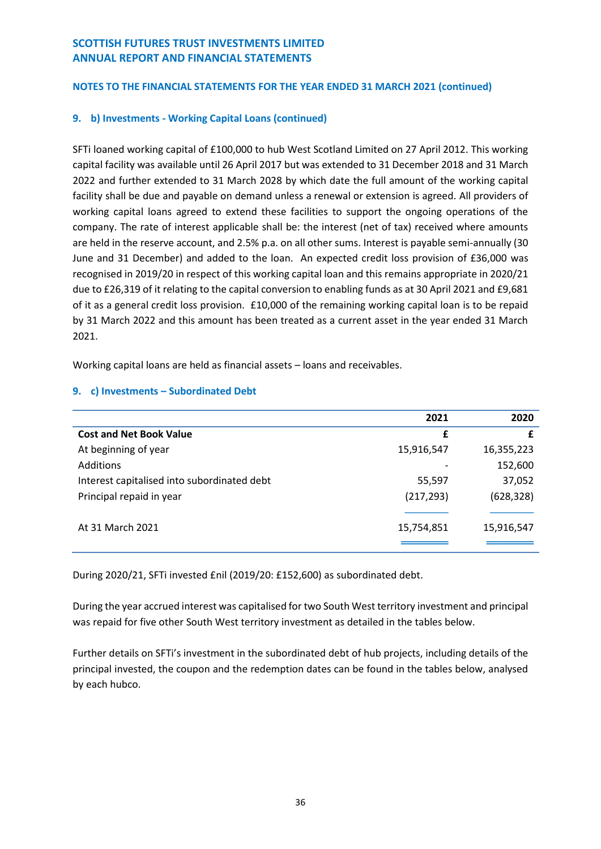## **NOTES TO THE FINANCIAL STATEMENTS FOR THE YEAR ENDED 31 MARCH 2021 (continued)**

## **9. b) Investments - Working Capital Loans (continued)**

SFTi loaned working capital of £100,000 to hub West Scotland Limited on 27 April 2012. This working capital facility was available until 26 April 2017 but was extended to 31 December 2018 and 31 March 2022 and further extended to 31 March 2028 by which date the full amount of the working capital facility shall be due and payable on demand unless a renewal or extension is agreed. All providers of working capital loans agreed to extend these facilities to support the ongoing operations of the company. The rate of interest applicable shall be: the interest (net of tax) received where amounts are held in the reserve account, and 2.5% p.a. on all other sums. Interest is payable semi-annually (30 June and 31 December) and added to the loan. An expected credit loss provision of £36,000 was recognised in 2019/20 in respect of this working capital loan and this remains appropriate in 2020/21 due to £26,319 of it relating to the capital conversion to enabling funds as at 30 April 2021 and £9,681 of it as a general credit loss provision. £10,000 of the remaining working capital loan is to be repaid by 31 March 2022 and this amount has been treated as a current asset in the year ended 31 March 2021.

Working capital loans are held as financial assets – loans and receivables.

|                                             | 2021       | 2020       |
|---------------------------------------------|------------|------------|
| <b>Cost and Net Book Value</b>              | £          | £          |
| At beginning of year                        | 15,916,547 | 16,355,223 |
| Additions                                   |            | 152,600    |
| Interest capitalised into subordinated debt | 55,597     | 37,052     |
| Principal repaid in year                    | (217, 293) | (628, 328) |
|                                             |            |            |
| At 31 March 2021                            | 15,754,851 | 15,916,547 |
|                                             |            |            |

## **9. c) Investments – Subordinated Debt**

During 2020/21, SFTi invested £nil (2019/20: £152,600) as subordinated debt.

During the year accrued interest was capitalised for two South West territory investment and principal was repaid for five other South West territory investment as detailed in the tables below.

Further details on SFTi's investment in the subordinated debt of hub projects, including details of the principal invested, the coupon and the redemption dates can be found in the tables below, analysed by each hubco.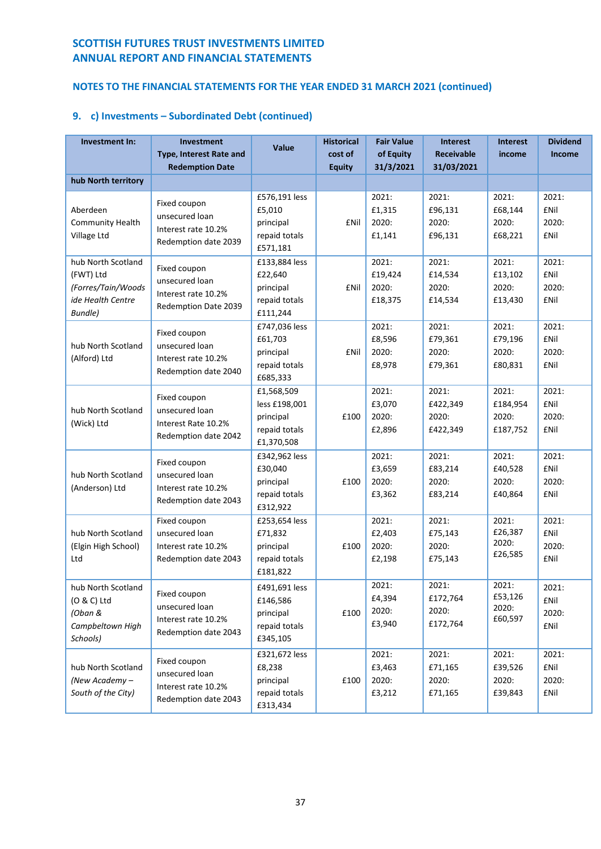# **NOTES TO THE FINANCIAL STATEMENTS FOR THE YEAR ENDED 31 MARCH 2021 (continued)**

| Investment In:                                                                                | Investment<br>Type, Interest Rate and<br><b>Redemption Date</b>               | <b>Value</b>                                                            | <b>Historical</b><br>cost of<br><b>Equity</b> | <b>Fair Value</b><br>of Equity<br>31/3/2021 | <b>Interest</b><br><b>Receivable</b><br>31/03/2021 | <b>Interest</b><br>income              | <b>Dividend</b><br><b>Income</b>             |
|-----------------------------------------------------------------------------------------------|-------------------------------------------------------------------------------|-------------------------------------------------------------------------|-----------------------------------------------|---------------------------------------------|----------------------------------------------------|----------------------------------------|----------------------------------------------|
| hub North territory                                                                           |                                                                               |                                                                         |                                               |                                             |                                                    |                                        |                                              |
| Aberdeen<br><b>Community Health</b><br>Village Ltd                                            | Fixed coupon<br>unsecured loan<br>Interest rate 10.2%<br>Redemption date 2039 | £576,191 less<br>£5,010<br>principal<br>repaid totals<br>£571,181       | £Nil                                          | 2021:<br>£1,315<br>2020:<br>£1,141          | 2021:<br>£96,131<br>2020:<br>£96,131               | 2021:<br>£68,144<br>2020:<br>£68,221   | 2021:<br><b>£Nil</b><br>2020:<br><b>£Nil</b> |
| hub North Scotland<br>(FWT) Ltd<br>(Forres/Tain/Woods<br>ide Health Centre<br><b>Bundle</b> ) | Fixed coupon<br>unsecured loan<br>Interest rate 10.2%<br>Redemption Date 2039 | £133,884 less<br>£22,640<br>principal<br>repaid totals<br>£111,244      | <b>£Nil</b>                                   | 2021:<br>£19,424<br>2020:<br>£18,375        | 2021:<br>£14,534<br>2020:<br>£14,534               | 2021:<br>£13,102<br>2020:<br>£13,430   | 2021:<br><b>£Nil</b><br>2020:<br><b>£Nil</b> |
| hub North Scotland<br>(Alford) Ltd                                                            | Fixed coupon<br>unsecured loan<br>Interest rate 10.2%<br>Redemption date 2040 | £747,036 less<br>£61,703<br>principal<br>repaid totals<br>£685,333      | <b>£Nil</b>                                   | 2021:<br>£8,596<br>2020:<br>£8,978          | 2021:<br>£79,361<br>2020:<br>£79,361               | 2021:<br>£79,196<br>2020:<br>£80,831   | 2021:<br><b>£Nil</b><br>2020:<br><b>£Nil</b> |
| hub North Scotland<br>(Wick) Ltd                                                              | Fixed coupon<br>unsecured loan<br>Interest Rate 10.2%<br>Redemption date 2042 | £1,568,509<br>less £198,001<br>principal<br>repaid totals<br>£1,370,508 | £100                                          | 2021:<br>£3,070<br>2020:<br>£2,896          | 2021:<br>£422,349<br>2020:<br>£422,349             | 2021:<br>£184,954<br>2020:<br>£187,752 | 2021:<br><b>£Nil</b><br>2020:<br><b>£Nil</b> |
| hub North Scotland<br>(Anderson) Ltd                                                          | Fixed coupon<br>unsecured loan<br>Interest rate 10.2%<br>Redemption date 2043 | £342,962 less<br>£30,040<br>principal<br>repaid totals<br>£312,922      | £100                                          | 2021:<br>£3,659<br>2020:<br>£3,362          | 2021:<br>£83,214<br>2020:<br>£83,214               | 2021:<br>£40,528<br>2020:<br>£40,864   | 2021:<br><b>£Nil</b><br>2020:<br><b>£Nil</b> |
| hub North Scotland<br>(Elgin High School)<br>Ltd                                              | Fixed coupon<br>unsecured loan<br>Interest rate 10.2%<br>Redemption date 2043 | £253,654 less<br>£71,832<br>principal<br>repaid totals<br>£181,822      | £100                                          | 2021:<br>£2,403<br>2020:<br>£2,198          | 2021:<br>£75,143<br>2020:<br>£75,143               | 2021:<br>£26,387<br>2020:<br>£26,585   | 2021:<br><b>£Nil</b><br>2020:<br><b>£Nil</b> |
| hub North Scotland<br>(O & C) Ltd<br>(Oban &<br>Campbeltown High<br>Schools)                  | Fixed coupon<br>unsecured loan<br>Interest rate 10.2%<br>Redemption date 2043 | £491,691 less<br>£146,586<br>principal<br>repaid totals<br>£345,105     | £100                                          | 2021:<br>£4,394<br>2020:<br>£3,940          | 2021:<br>£172,764<br>2020:<br>£172,764             | 2021:<br>£53,126<br>2020:<br>£60,597   | 2021:<br>£Nil<br>2020:<br>£Nil               |
| hub North Scotland<br>(New Academy -<br>South of the City)                                    | Fixed coupon<br>unsecured loan<br>Interest rate 10.2%<br>Redemption date 2043 | £321,672 less<br>£8,238<br>principal<br>repaid totals<br>£313,434       | £100                                          | 2021:<br>£3,463<br>2020:<br>£3,212          | 2021:<br>£71,165<br>2020:<br>£71,165               | 2021:<br>£39,526<br>2020:<br>£39,843   | 2021:<br>£Nil<br>2020:<br>£Nil               |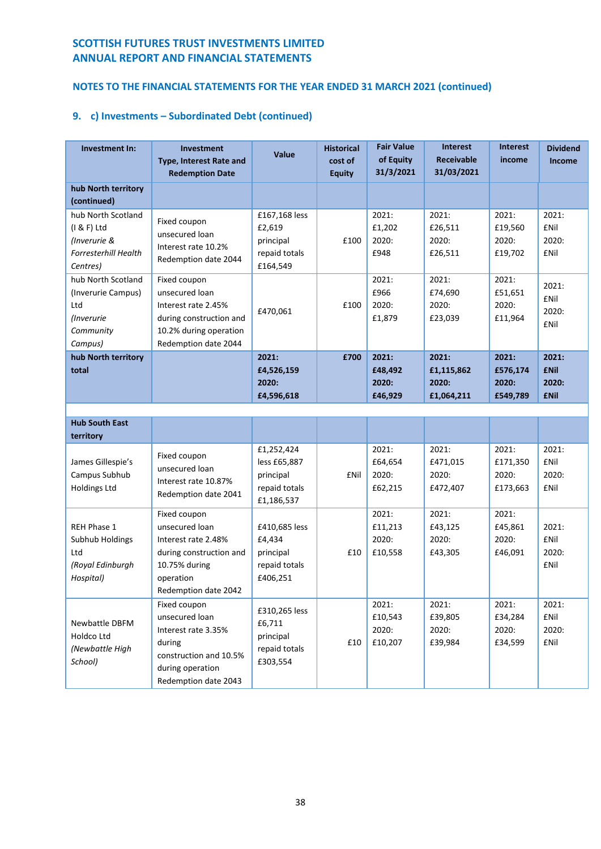# **NOTES TO THE FINANCIAL STATEMENTS FOR THE YEAR ENDED 31 MARCH 2021 (continued)**

| Investment In:                                                                               | <b>Investment</b><br><b>Type, Interest Rate and</b><br><b>Redemption Date</b>                                                          | Value                                                                  | <b>Historical</b><br>cost of<br><b>Equity</b> | <b>Fair Value</b><br>of Equity<br>31/3/2021 | <b>Interest</b><br><b>Receivable</b><br>31/03/2021 | <b>Interest</b><br>income              | <b>Dividend</b><br><b>Income</b>             |
|----------------------------------------------------------------------------------------------|----------------------------------------------------------------------------------------------------------------------------------------|------------------------------------------------------------------------|-----------------------------------------------|---------------------------------------------|----------------------------------------------------|----------------------------------------|----------------------------------------------|
| hub North territory<br>(continued)                                                           |                                                                                                                                        |                                                                        |                                               |                                             |                                                    |                                        |                                              |
| hub North Scotland<br>(I & F) Ltd<br>(Inverurie &<br><b>Forresterhill Health</b><br>Centres) | Fixed coupon<br>unsecured loan<br>Interest rate 10.2%<br>Redemption date 2044                                                          | £167,168 less<br>£2,619<br>principal<br>repaid totals<br>£164,549      | £100                                          | 2021:<br>£1,202<br>2020:<br>£948            | 2021:<br>£26,511<br>2020:<br>£26,511               | 2021:<br>£19,560<br>2020:<br>£19,702   | 2021:<br><b>£Nil</b><br>2020:<br><b>£Nil</b> |
| hub North Scotland<br>(Inverurie Campus)<br>Ltd<br>(Inverurie<br>Community<br>Campus)        | Fixed coupon<br>unsecured loan<br>Interest rate 2.45%<br>during construction and<br>10.2% during operation<br>Redemption date 2044     | £470,061                                                               | £100                                          | 2021:<br>£966<br>2020:<br>£1,879            | 2021:<br>£74,690<br>2020:<br>£23,039               | 2021:<br>£51,651<br>2020:<br>£11,964   | 2021:<br><b>£Nil</b><br>2020:<br><b>£Nil</b> |
| hub North territory<br>total                                                                 |                                                                                                                                        | 2021:<br>£4,526,159                                                    | £700                                          | 2021:<br>£48,492                            | 2021:<br>£1,115,862                                | 2021:<br>£576,174                      | 2021:<br><b>£Nil</b>                         |
|                                                                                              |                                                                                                                                        | 2020:<br>£4,596,618                                                    |                                               | 2020:<br>£46,929                            | 2020:<br>£1,064,211                                | 2020:<br>£549,789                      | 2020:<br><b>£Nil</b>                         |
|                                                                                              |                                                                                                                                        |                                                                        |                                               |                                             |                                                    |                                        |                                              |
| <b>Hub South East</b><br>territory                                                           |                                                                                                                                        |                                                                        |                                               |                                             |                                                    |                                        |                                              |
| James Gillespie's<br>Campus Subhub<br><b>Holdings Ltd</b>                                    | Fixed coupon<br>unsecured loan<br>Interest rate 10.87%<br>Redemption date 2041                                                         | £1,252,424<br>less £65,887<br>principal<br>repaid totals<br>£1,186,537 | <b>£Nil</b>                                   | 2021:<br>£64,654<br>2020:<br>£62,215        | 2021:<br>£471,015<br>2020:<br>£472,407             | 2021:<br>£171,350<br>2020:<br>£173,663 | 2021:<br><b>£Nil</b><br>2020:<br><b>£Nil</b> |
| REH Phase 1<br>Subhub Holdings<br>Ltd<br>(Royal Edinburgh<br>Hospital)                       | Fixed coupon<br>unsecured loan<br>Interest rate 2.48%<br>during construction and<br>10.75% during<br>operation<br>Redemption date 2042 | £410,685 less<br>£4,434<br>principal<br>repaid totals<br>£406,251      | £10                                           | 2021:<br>£11,213<br>2020:<br>£10,558        | 2021:<br>£43,125<br>2020:<br>£43,305               | 2021:<br>£45,861<br>2020:<br>£46,091   | 2021:<br><b>£Nil</b><br>2020:<br><b>£Nil</b> |
| Newbattle DBFM<br>Holdco Ltd<br>(Newbattle High<br>School)                                   | Fixed coupon<br>unsecured loan<br>Interest rate 3.35%<br>during<br>construction and 10.5%<br>during operation<br>Redemption date 2043  | £310,265 less<br>£6,711<br>principal<br>repaid totals<br>£303,554      | £10                                           | 2021:<br>£10,543<br>2020:<br>£10,207        | 2021:<br>£39,805<br>2020:<br>£39,984               | 2021:<br>£34,284<br>2020:<br>£34,599   | 2021:<br>£Nil<br>2020:<br>£Nil               |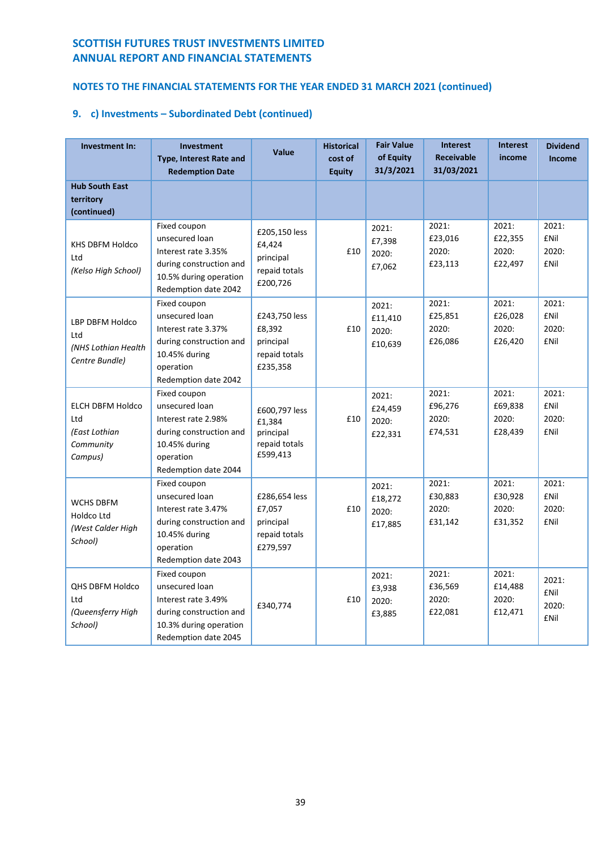# **NOTES TO THE FINANCIAL STATEMENTS FOR THE YEAR ENDED 31 MARCH 2021 (continued)**

| <b>Investment In:</b>                                                   | <b>Investment</b><br><b>Type, Interest Rate and</b><br><b>Redemption Date</b>                                                          | Value                                                             | <b>Historical</b><br>cost of<br><b>Equity</b> | <b>Fair Value</b><br>of Equity<br>31/3/2021 | <b>Interest</b><br><b>Receivable</b><br>31/03/2021 | <b>Interest</b><br>income            | <b>Dividend</b><br>Income                     |
|-------------------------------------------------------------------------|----------------------------------------------------------------------------------------------------------------------------------------|-------------------------------------------------------------------|-----------------------------------------------|---------------------------------------------|----------------------------------------------------|--------------------------------------|-----------------------------------------------|
| <b>Hub South East</b><br>territory<br>(continued)                       |                                                                                                                                        |                                                                   |                                               |                                             |                                                    |                                      |                                               |
| KHS DBFM Holdco<br>Ltd<br>(Kelso High School)                           | Fixed coupon<br>unsecured loan<br>Interest rate 3.35%<br>during construction and<br>10.5% during operation<br>Redemption date 2042     | £205,150 less<br>£4,424<br>principal<br>repaid totals<br>£200,726 | £10                                           | 2021:<br>£7,398<br>2020:<br>£7,062          | 2021:<br>£23,016<br>2020:<br>£23,113               | 2021:<br>£22,355<br>2020:<br>£22,497 | 2021:<br><b>£Nil</b><br>2020:<br><b>f</b> Nil |
| LBP DBFM Holdco<br>Ltd<br>(NHS Lothian Health<br>Centre Bundle)         | Fixed coupon<br>unsecured loan<br>Interest rate 3.37%<br>during construction and<br>10.45% during<br>operation<br>Redemption date 2042 | £243,750 less<br>£8,392<br>principal<br>repaid totals<br>£235,358 | £10                                           | 2021:<br>£11,410<br>2020:<br>£10,639        | 2021:<br>£25,851<br>2020:<br>£26,086               | 2021:<br>£26,028<br>2020:<br>£26,420 | 2021:<br><b>£Nil</b><br>2020:<br><b>£Nil</b>  |
| <b>ELCH DBFM Holdco</b><br>Ltd<br>(East Lothian<br>Community<br>Campus) | Fixed coupon<br>unsecured loan<br>Interest rate 2.98%<br>during construction and<br>10.45% during<br>operation<br>Redemption date 2044 | £600,797 less<br>£1,384<br>principal<br>repaid totals<br>£599,413 | £10                                           | 2021:<br>£24,459<br>2020:<br>£22,331        | 2021:<br>£96,276<br>2020:<br>£74,531               | 2021:<br>£69,838<br>2020:<br>£28,439 | 2021:<br><b>£Nil</b><br>2020:<br><b>£Nil</b>  |
| WCHS DBFM<br>Holdco Ltd<br>(West Calder High<br>School)                 | Fixed coupon<br>unsecured loan<br>Interest rate 3.47%<br>during construction and<br>10.45% during<br>operation<br>Redemption date 2043 | £286,654 less<br>£7,057<br>principal<br>repaid totals<br>£279,597 | £10                                           | 2021:<br>£18,272<br>2020:<br>£17,885        | 2021:<br>£30,883<br>2020:<br>£31,142               | 2021:<br>£30,928<br>2020:<br>£31,352 | 2021:<br><b>£Nil</b><br>2020:<br><b>f</b> Nil |
| <b>QHS DBFM Holdco</b><br>Ltd<br>(Queensferry High<br>School)           | Fixed coupon<br>unsecured loan<br>Interest rate 3.49%<br>during construction and<br>10.3% during operation<br>Redemption date 2045     | £340,774                                                          | £10                                           | 2021:<br>£3,938<br>2020:<br>£3,885          | 2021:<br>£36,569<br>2020:<br>£22,081               | 2021:<br>£14,488<br>2020:<br>£12,471 | 2021:<br><b>£Nil</b><br>2020:<br><b>£Nil</b>  |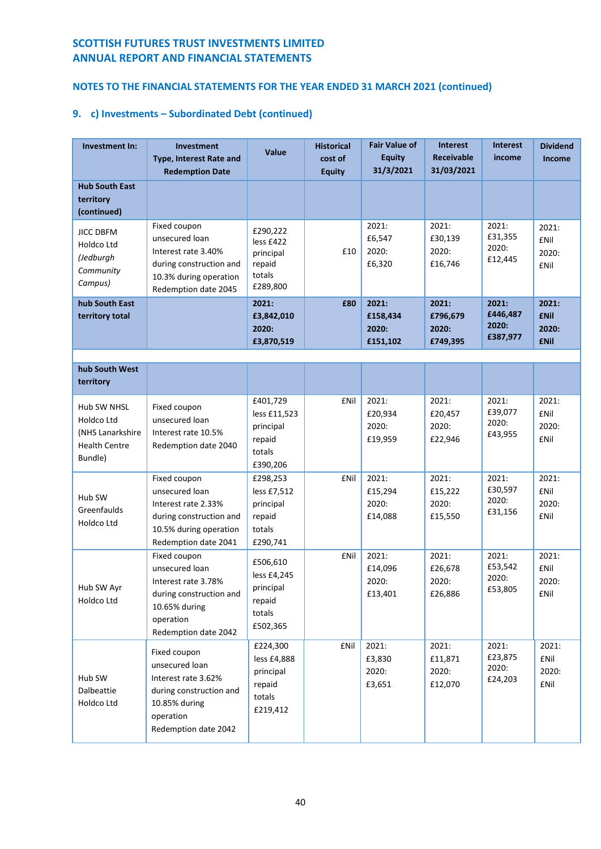# **NOTES TO THE FINANCIAL STATEMENTS FOR THE YEAR ENDED 31 MARCH 2021 (continued)**

| Investment In:                                                                   | Investment<br><b>Type, Interest Rate and</b><br><b>Redemption Date</b>                                                                 | <b>Value</b>                                                          | <b>Historical</b><br>cost of<br><b>Equity</b> | <b>Fair Value of</b><br><b>Equity</b><br>31/3/2021 | <b>Interest</b><br><b>Receivable</b><br>31/03/2021 | <b>Interest</b><br>income              | <b>Dividend</b><br><b>Income</b>              |
|----------------------------------------------------------------------------------|----------------------------------------------------------------------------------------------------------------------------------------|-----------------------------------------------------------------------|-----------------------------------------------|----------------------------------------------------|----------------------------------------------------|----------------------------------------|-----------------------------------------------|
| <b>Hub South East</b><br>territory<br>(continued)                                |                                                                                                                                        |                                                                       |                                               |                                                    |                                                    |                                        |                                               |
| <b>JICC DBFM</b><br>Holdco Ltd<br>(Jedburgh<br>Community<br>Campus)              | Fixed coupon<br>unsecured loan<br>Interest rate 3.40%<br>during construction and<br>10.3% during operation<br>Redemption date 2045     | £290,222<br>less £422<br>principal<br>repaid<br>totals<br>£289,800    | £10                                           | 2021:<br>£6,547<br>2020:<br>£6,320                 | 2021:<br>£30,139<br>2020:<br>£16,746               | 2021:<br>£31,355<br>2020:<br>£12,445   | 2021:<br><b>£Nil</b><br>2020:<br><b>£Nil</b>  |
| hub South East<br>territory total                                                |                                                                                                                                        | 2021:<br>£3,842,010<br>2020:<br>£3,870,519                            | £80                                           | 2021:<br>£158,434<br>2020:<br>£151,102             | 2021:<br>£796,679<br>2020:<br>£749,395             | 2021:<br>£446,487<br>2020:<br>£387,977 | 2021:<br><b>£Nil</b><br>2020:<br><b>£Nil</b>  |
|                                                                                  |                                                                                                                                        |                                                                       |                                               |                                                    |                                                    |                                        |                                               |
| hub South West<br>territory                                                      |                                                                                                                                        |                                                                       |                                               |                                                    |                                                    |                                        |                                               |
| Hub SW NHSL<br>Holdco Ltd<br>(NHS Lanarkshire<br><b>Health Centre</b><br>Bundle) | Fixed coupon<br>unsecured loan<br>Interest rate 10.5%<br>Redemption date 2040                                                          | £401,729<br>less £11,523<br>principal<br>repaid<br>totals<br>£390,206 | £Nil                                          | 2021:<br>£20,934<br>2020:<br>£19,959               | 2021:<br>£20,457<br>2020:<br>£22,946               | 2021:<br>£39,077<br>2020:<br>£43,955   | 2021:<br><b>f</b> Nil<br>2020:<br><b>£Nil</b> |
| Hub SW<br>Greenfaulds<br>Holdco Ltd                                              | Fixed coupon<br>unsecured loan<br>Interest rate 2.33%<br>during construction and<br>10.5% during operation<br>Redemption date 2041     | £298,253<br>less £7,512<br>principal<br>repaid<br>totals<br>£290,741  | <b>£Nil</b>                                   | 2021:<br>£15,294<br>2020:<br>£14,088               | 2021:<br>£15,222<br>2020:<br>£15,550               | 2021:<br>£30,597<br>2020:<br>£31,156   | 2021:<br><b>£Nil</b><br>2020:<br><b>£Nil</b>  |
| Hub SW Ayr<br>Holdco Ltd                                                         | Fixed coupon<br>unsecured loan<br>Interest rate 3.78%<br>during construction and<br>10.65% during<br>operation<br>Redemption date 2042 | £506,610<br>less £4,245<br>principal<br>repaid<br>totals<br>£502,365  | <b>£Nil</b>                                   | 2021:<br>£14,096<br>2020:<br>£13,401               | 2021:<br>£26,678<br>2020:<br>£26,886               | 2021:<br>£53,542<br>2020:<br>£53,805   | 2021:<br><b>£Nil</b><br>2020:<br>£Nil         |
| Hub SW<br>Dalbeattie<br>Holdco Ltd                                               | Fixed coupon<br>unsecured loan<br>Interest rate 3.62%<br>during construction and<br>10.85% during<br>operation<br>Redemption date 2042 | £224,300<br>less £4,888<br>principal<br>repaid<br>totals<br>£219,412  | <b>£Nil</b>                                   | 2021:<br>£3,830<br>2020:<br>£3,651                 | 2021:<br>£11,871<br>2020:<br>£12,070               | 2021:<br>£23,875<br>2020:<br>£24,203   | 2021:<br>£Nil<br>2020:<br>£Nil                |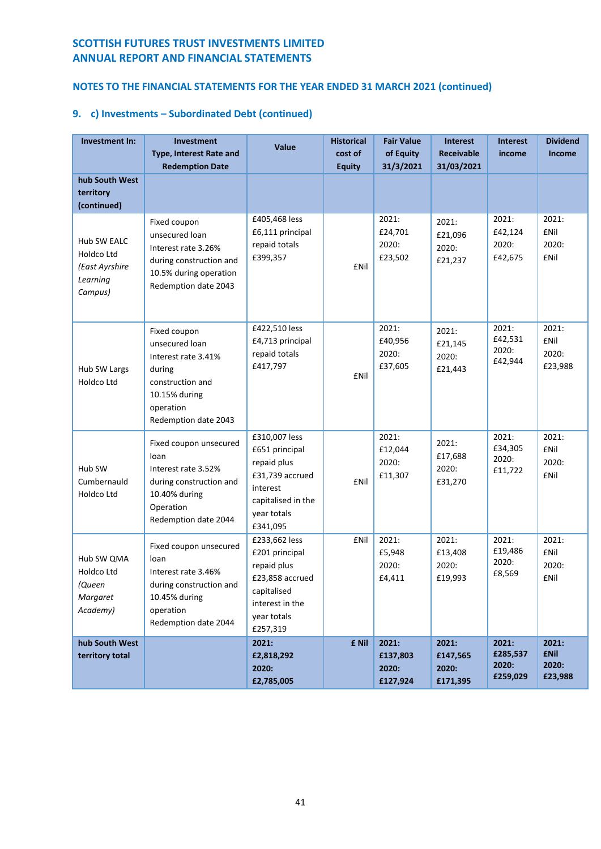# **NOTES TO THE FINANCIAL STATEMENTS FOR THE YEAR ENDED 31 MARCH 2021 (continued)**

| <b>Investment In:</b>                                                     | Investment<br><b>Type, Interest Rate and</b><br><b>Redemption Date</b>                                                                    | <b>Value</b>                                                                                                                   | <b>Historical</b><br>cost of<br><b>Equity</b> | <b>Fair Value</b><br>of Equity<br>31/3/2021 | <b>Interest</b><br><b>Receivable</b><br>31/03/2021 | <b>Interest</b><br>income              | <b>Dividend</b><br><b>Income</b>             |
|---------------------------------------------------------------------------|-------------------------------------------------------------------------------------------------------------------------------------------|--------------------------------------------------------------------------------------------------------------------------------|-----------------------------------------------|---------------------------------------------|----------------------------------------------------|----------------------------------------|----------------------------------------------|
| hub South West<br>territory<br>(continued)                                |                                                                                                                                           |                                                                                                                                |                                               |                                             |                                                    |                                        |                                              |
| <b>Hub SW EALC</b><br>Holdco Ltd<br>(East Ayrshire<br>Learning<br>Campus) | Fixed coupon<br>unsecured loan<br>Interest rate 3.26%<br>during construction and<br>10.5% during operation<br>Redemption date 2043        | £405,468 less<br>£6,111 principal<br>repaid totals<br>£399,357                                                                 | <b>£Nil</b>                                   | 2021:<br>£24,701<br>2020:<br>£23,502        | 2021:<br>£21,096<br>2020:<br>£21,237               | 2021:<br>£42,124<br>2020:<br>£42,675   | 2021:<br><b>£Nil</b><br>2020:<br><b>£Nil</b> |
| Hub SW Largs<br>Holdco Ltd                                                | Fixed coupon<br>unsecured loan<br>Interest rate 3.41%<br>during<br>construction and<br>10.15% during<br>operation<br>Redemption date 2043 | £422,510 less<br>£4,713 principal<br>repaid totals<br>£417,797                                                                 | <b>£Nil</b>                                   | 2021:<br>£40,956<br>2020:<br>£37,605        | 2021:<br>£21,145<br>2020:<br>£21,443               | 2021:<br>£42,531<br>2020:<br>£42,944   | 2021:<br><b>£Nil</b><br>2020:<br>£23,988     |
| Hub SW<br>Cumbernauld<br>Holdco Ltd                                       | Fixed coupon unsecured<br>loan<br>Interest rate 3.52%<br>during construction and<br>10.40% during<br>Operation<br>Redemption date 2044    | £310,007 less<br>£651 principal<br>repaid plus<br>£31,739 accrued<br>interest<br>capitalised in the<br>year totals<br>£341,095 | <b>£Nil</b>                                   | 2021:<br>£12,044<br>2020:<br>£11,307        | 2021:<br>£17,688<br>2020:<br>£31,270               | 2021:<br>£34,305<br>2020:<br>£11,722   | 2021:<br><b>£Nil</b><br>2020:<br><b>£Nil</b> |
| Hub SW QMA<br>Holdco Ltd<br>(Queen<br>Margaret<br>Academy)                | Fixed coupon unsecured<br>loan<br>Interest rate 3.46%<br>during construction and<br>10.45% during<br>operation<br>Redemption date 2044    | £233,662 less<br>£201 principal<br>repaid plus<br>£23,858 accrued<br>capitalised<br>interest in the<br>year totals<br>£257,319 | <b>£Nil</b>                                   | 2021:<br>£5,948<br>2020:<br>£4,411          | 2021:<br>£13,408<br>2020:<br>£19,993               | 2021:<br>£19,486<br>2020:<br>£8,569    | 2021:<br><b>£Nil</b><br>2020:<br>£Nil        |
| hub South West<br>territory total                                         |                                                                                                                                           | 2021:<br>£2,818,292<br>2020:<br>£2,785,005                                                                                     | £ Nil                                         | 2021:<br>£137,803<br>2020:<br>£127,924      | 2021:<br>£147,565<br>2020:<br>£171,395             | 2021:<br>£285,537<br>2020:<br>£259,029 | 2021:<br><b>£Nil</b><br>2020:<br>£23,988     |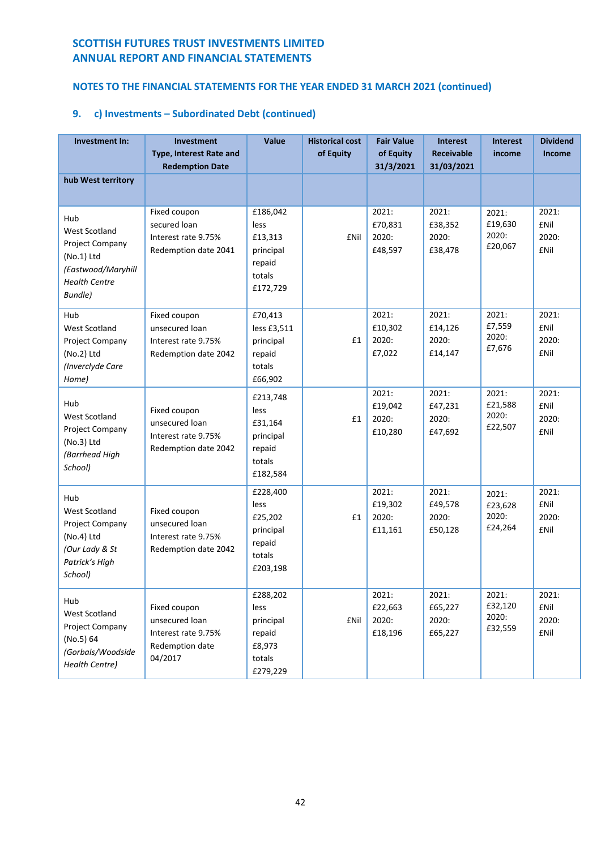# **NOTES TO THE FINANCIAL STATEMENTS FOR THE YEAR ENDED 31 MARCH 2021 (continued)**

| Investment In:                                                                                                          | <b>Investment</b><br>Type, Interest Rate and<br><b>Redemption Date</b>              | Value                                                                    | <b>Historical cost</b><br>of Equity | <b>Fair Value</b><br>of Equity<br>31/3/2021 | <b>Interest</b><br><b>Receivable</b><br>31/03/2021 | <b>Interest</b><br>income            | <b>Dividend</b><br><b>Income</b>              |
|-------------------------------------------------------------------------------------------------------------------------|-------------------------------------------------------------------------------------|--------------------------------------------------------------------------|-------------------------------------|---------------------------------------------|----------------------------------------------------|--------------------------------------|-----------------------------------------------|
| hub West territory                                                                                                      |                                                                                     |                                                                          |                                     |                                             |                                                    |                                      |                                               |
| Hub<br>West Scotland<br>Project Company<br>$(No.1)$ Ltd<br>(Eastwood/Maryhill<br><b>Health Centre</b><br><b>Bundle)</b> | Fixed coupon<br>secured loan<br>Interest rate 9.75%<br>Redemption date 2041         | £186,042<br>less<br>£13,313<br>principal<br>repaid<br>totals<br>£172,729 | <b>f</b> Nil                        | 2021:<br>£70,831<br>2020:<br>£48,597        | 2021:<br>£38,352<br>2020:<br>£38,478               | 2021:<br>£19,630<br>2020:<br>£20,067 | 2021:<br><b>£Nil</b><br>2020:<br><b>£Nil</b>  |
| Hub<br>West Scotland<br>Project Company<br>(No.2) Ltd<br>(Inverclyde Care<br>Home)                                      | Fixed coupon<br>unsecured loan<br>Interest rate 9.75%<br>Redemption date 2042       | £70,413<br>less £3,511<br>principal<br>repaid<br>totals<br>£66,902       | £1                                  | 2021:<br>£10,302<br>2020:<br>£7,022         | 2021:<br>£14,126<br>2020:<br>£14,147               | 2021:<br>£7,559<br>2020:<br>£7,676   | 2021:<br><b>fNil</b><br>2020:<br><b>£Nil</b>  |
| Hub<br>West Scotland<br>Project Company<br>(No.3) Ltd<br>(Barrhead High<br>School)                                      | Fixed coupon<br>unsecured loan<br>Interest rate 9.75%<br>Redemption date 2042       | £213,748<br>less<br>£31,164<br>principal<br>repaid<br>totals<br>£182,584 | £1                                  | 2021:<br>£19,042<br>2020:<br>£10,280        | 2021:<br>£47,231<br>2020:<br>£47,692               | 2021:<br>£21,588<br>2020:<br>£22,507 | 2021:<br><b>£Nil</b><br>2020:<br><b>£Nil</b>  |
| Hub<br>West Scotland<br>Project Company<br>(No.4) Ltd<br>(Our Lady & St<br>Patrick's High<br>School)                    | Fixed coupon<br>unsecured loan<br>Interest rate 9.75%<br>Redemption date 2042       | £228,400<br>less<br>£25,202<br>principal<br>repaid<br>totals<br>£203,198 | £1                                  | 2021:<br>£19,302<br>2020:<br>£11,161        | 2021:<br>£49,578<br>2020:<br>£50,128               | 2021:<br>£23,628<br>2020:<br>£24,264 | 2021:<br><b>f</b> Nil<br>2020:<br><b>£Nil</b> |
| Hub<br>West Scotland<br>Project Company<br>(No.5) 64<br>(Gorbals/Woodside<br>Health Centre)                             | Fixed coupon<br>unsecured loan<br>Interest rate 9.75%<br>Redemption date<br>04/2017 | £288,202<br>less<br>principal<br>repaid<br>£8,973<br>totals<br>£279,229  | <b>£Nil</b>                         | 2021:<br>£22,663<br>2020:<br>£18,196        | 2021:<br>£65,227<br>2020:<br>£65,227               | 2021:<br>£32,120<br>2020:<br>£32,559 | 2021:<br>£Nil<br>2020:<br>£Nil                |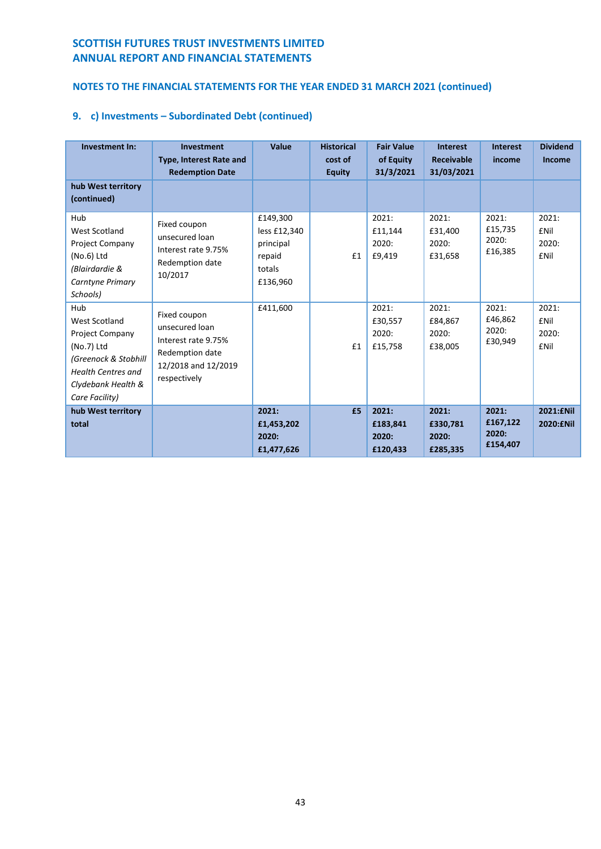# **NOTES TO THE FINANCIAL STATEMENTS FOR THE YEAR ENDED 31 MARCH 2021 (continued)**

| Investment In:                                                                                                                                            | Investment<br><b>Type, Interest Rate and</b><br><b>Redemption Date</b>                                          | Value                                                                 | <b>Historical</b><br>cost of<br><b>Equity</b> | <b>Fair Value</b><br>of Equity<br>31/3/2021 | <b>Interest</b><br><b>Receivable</b><br>31/03/2021 | <b>Interest</b><br>income              | <b>Dividend</b><br><b>Income</b>               |
|-----------------------------------------------------------------------------------------------------------------------------------------------------------|-----------------------------------------------------------------------------------------------------------------|-----------------------------------------------------------------------|-----------------------------------------------|---------------------------------------------|----------------------------------------------------|----------------------------------------|------------------------------------------------|
| hub West territory<br>(continued)                                                                                                                         |                                                                                                                 |                                                                       |                                               |                                             |                                                    |                                        |                                                |
| Hub<br>West Scotland<br><b>Project Company</b><br>$(No.6)$ Ltd<br>(Blairdardie &<br>Carntyne Primary<br>Schools)                                          | Fixed coupon<br>unsecured loan<br>Interest rate 9.75%<br>Redemption date<br>10/2017                             | £149,300<br>less £12,340<br>principal<br>repaid<br>totals<br>£136,960 | £1                                            | 2021:<br>£11,144<br>2020:<br>£9,419         | 2021:<br>£31,400<br>2020:<br>£31,658               | 2021:<br>£15,735<br>2020:<br>£16,385   | 2021:<br><b>f</b> Nil<br>2020:<br><b>f</b> Nil |
| Hub<br>West Scotland<br><b>Project Company</b><br>(No.7) Ltd<br>(Greenock & Stobhill<br><b>Health Centres and</b><br>Clydebank Health &<br>Care Facility) | Fixed coupon<br>unsecured loan<br>Interest rate 9.75%<br>Redemption date<br>12/2018 and 12/2019<br>respectively | £411,600                                                              | £1                                            | 2021:<br>£30,557<br>2020:<br>£15,758        | 2021:<br>£84,867<br>2020:<br>£38,005               | 2021:<br>£46,862<br>2020:<br>£30,949   | 2021:<br><b>f</b> Nil<br>2020:<br><b>£Nil</b>  |
| hub West territory<br>total                                                                                                                               |                                                                                                                 | 2021:<br>£1,453,202<br>2020:<br>£1,477,626                            | £5                                            | 2021:<br>£183.841<br>2020:<br>£120,433      | 2021:<br>£330,781<br>2020:<br>£285,335             | 2021:<br>£167,122<br>2020:<br>£154,407 | 2021: ENil<br>2020: ENil                       |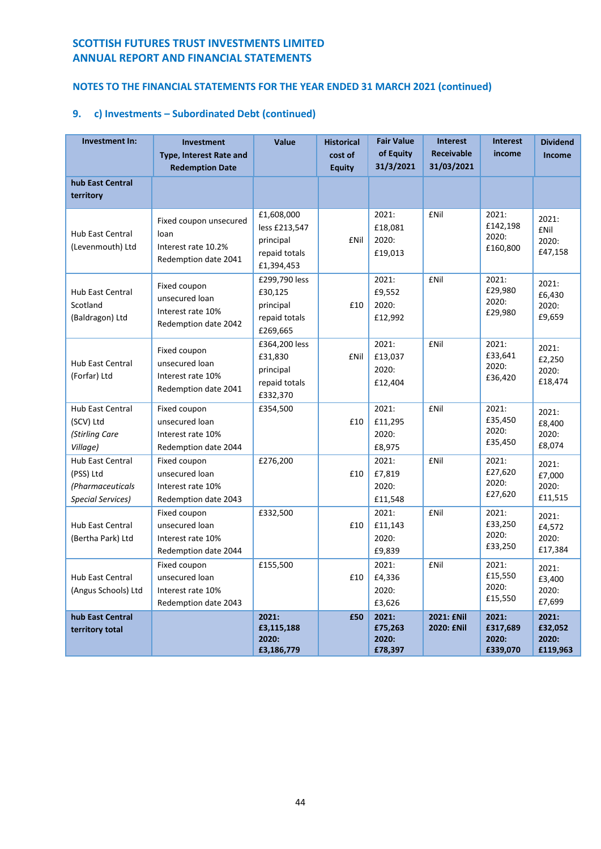# **NOTES TO THE FINANCIAL STATEMENTS FOR THE YEAR ENDED 31 MARCH 2021 (continued)**

| Investment In:                                                                       | <b>Investment</b><br><b>Type, Interest Rate and</b><br><b>Redemption Date</b> | Value                                                                   | <b>Historical</b><br>cost of<br><b>Equity</b> | <b>Fair Value</b><br>of Equity<br>31/3/2021 | <b>Interest</b><br><b>Receivable</b><br>31/03/2021 | <b>Interest</b><br>income              | <b>Dividend</b><br><b>Income</b>         |
|--------------------------------------------------------------------------------------|-------------------------------------------------------------------------------|-------------------------------------------------------------------------|-----------------------------------------------|---------------------------------------------|----------------------------------------------------|----------------------------------------|------------------------------------------|
| hub East Central<br>territory                                                        |                                                                               |                                                                         |                                               |                                             |                                                    |                                        |                                          |
| Hub East Central<br>(Levenmouth) Ltd                                                 | Fixed coupon unsecured<br>loan<br>Interest rate 10.2%<br>Redemption date 2041 | £1,608,000<br>less £213,547<br>principal<br>repaid totals<br>£1,394,453 | <b>£Nil</b>                                   | 2021:<br>£18,081<br>2020:<br>£19,013        | £Nil                                               | 2021:<br>£142,198<br>2020:<br>£160,800 | 2021:<br><b>£Nil</b><br>2020:<br>£47,158 |
| <b>Hub East Central</b><br>Scotland<br>(Baldragon) Ltd                               | Fixed coupon<br>unsecured loan<br>Interest rate 10%<br>Redemption date 2042   | £299,790 less<br>£30,125<br>principal<br>repaid totals<br>£269,665      | £10                                           | 2021:<br>£9,552<br>2020:<br>£12,992         | <b>£Nil</b>                                        | 2021:<br>£29,980<br>2020:<br>£29,980   | 2021:<br>£6,430<br>2020:<br>£9,659       |
| <b>Hub East Central</b><br>(Forfar) Ltd                                              | Fixed coupon<br>unsecured loan<br>Interest rate 10%<br>Redemption date 2041   | £364,200 less<br>£31,830<br>principal<br>repaid totals<br>£332,370      | £Nil                                          | 2021:<br>£13,037<br>2020:<br>£12,404        | <b>£Nil</b>                                        | 2021:<br>£33,641<br>2020:<br>£36,420   | 2021:<br>£2,250<br>2020:<br>£18,474      |
| <b>Hub East Central</b><br>(SCV) Ltd<br>(Stirling Care<br>Village)                   | Fixed coupon<br>unsecured loan<br>Interest rate 10%<br>Redemption date 2044   | £354,500                                                                | £10                                           | 2021:<br>£11,295<br>2020:<br>£8,975         | <b>£Nil</b>                                        | 2021:<br>£35,450<br>2020:<br>£35,450   | 2021:<br>£8,400<br>2020:<br>£8,074       |
| <b>Hub East Central</b><br>(PSS) Ltd<br>(Pharmaceuticals<br><b>Special Services)</b> | Fixed coupon<br>unsecured loan<br>Interest rate 10%<br>Redemption date 2043   | £276,200                                                                | £10                                           | 2021:<br>£7,819<br>2020:<br>£11,548         | <b>£Nil</b>                                        | 2021:<br>£27,620<br>2020:<br>£27,620   | 2021:<br>£7,000<br>2020:<br>£11,515      |
| Hub East Central<br>(Bertha Park) Ltd                                                | Fixed coupon<br>unsecured loan<br>Interest rate 10%<br>Redemption date 2044   | £332,500                                                                | £10                                           | 2021:<br>£11,143<br>2020:<br>£9,839         | <b>£Nil</b>                                        | 2021:<br>£33,250<br>2020:<br>£33,250   | 2021:<br>£4,572<br>2020:<br>£17,384      |
| Hub East Central<br>(Angus Schools) Ltd                                              | Fixed coupon<br>unsecured loan<br>Interest rate 10%<br>Redemption date 2043   | £155,500                                                                | £10                                           | 2021:<br>£4,336<br>2020:<br>£3,626          | <b>£Nil</b>                                        | 2021:<br>£15,550<br>2020:<br>£15,550   | 2021:<br>£3,400<br>2020:<br>£7,699       |
| hub East Central<br>territory total                                                  |                                                                               | 2021:<br>£3,115,188<br>2020:<br>£3,186,779                              | £50                                           | 2021:<br>£75,263<br>2020:<br>£78,397        | 2021: <b>£Nil</b><br>2020: <b>£Nil</b>             | 2021:<br>£317,689<br>2020:<br>£339,070 | 2021:<br>£32,052<br>2020:<br>£119,963    |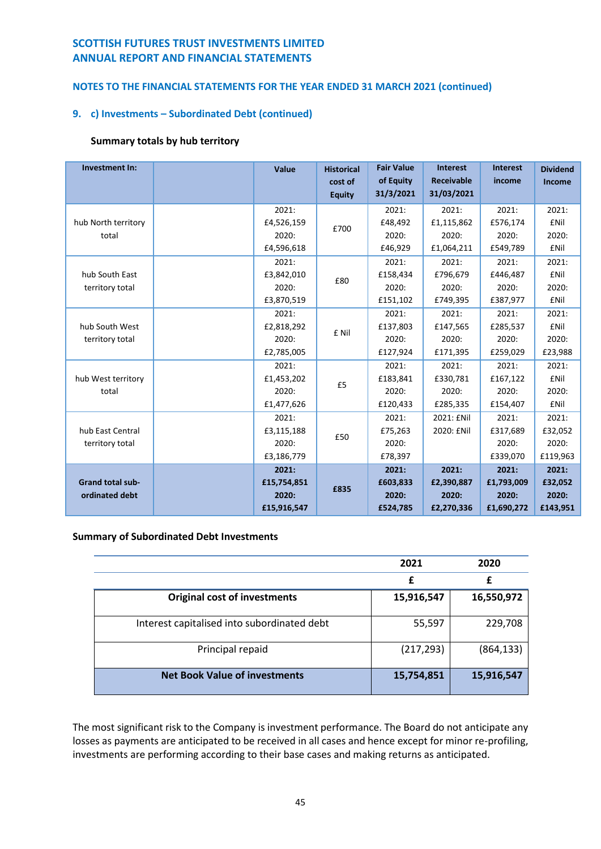## **NOTES TO THE FINANCIAL STATEMENTS FOR THE YEAR ENDED 31 MARCH 2021 (continued)**

## **9. c) Investments – Subordinated Debt (continued)**

## **Summary totals by hub territory**

| <b>Investment In:</b>   |               | Value       | <b>Historical</b><br>cost of<br><b>Equity</b> | <b>Fair Value</b><br>of Equity<br>31/3/2021 | <b>Interest</b><br><b>Receivable</b><br>31/03/2021 | <b>Interest</b><br>income | <b>Dividend</b><br>Income |
|-------------------------|---------------|-------------|-----------------------------------------------|---------------------------------------------|----------------------------------------------------|---------------------------|---------------------------|
|                         |               | 2021:       |                                               | 2021:                                       | 2021:                                              | 2021:                     | 2021:                     |
| hub North territory     |               | £4,526,159  |                                               | £48,492                                     | £1,115,862                                         | £576,174                  | <b>£Nil</b>               |
| total                   |               | 2020:       | £700                                          | 2020:                                       | 2020:                                              | 2020:                     | 2020:                     |
|                         |               | £4,596,618  |                                               | £46,929                                     | £1,064,211                                         | £549,789                  | <b>£Nil</b>               |
|                         |               | 2021:       |                                               | 2021:                                       | 2021:                                              | 2021:                     | 2021:                     |
| hub South East          |               | £3,842,010  | £80                                           | £158,434                                    | £796,679                                           | £446,487                  | <b>£Nil</b>               |
| territory total         |               | 2020:       |                                               | 2020:                                       | 2020:                                              | 2020:                     | 2020:                     |
|                         |               | £3,870,519  |                                               | £151,102                                    | £749,395                                           | £387,977                  | <b>£Nil</b>               |
|                         |               | 2021:       |                                               | 2021:                                       | 2021:                                              | 2021:                     | 2021:                     |
| hub South West          |               | £2,818,292  | £ Nil                                         | £137,803                                    | £147,565                                           | £285,537                  | <b>£Nil</b>               |
| territory total         |               | 2020:       |                                               | 2020:                                       | 2020:                                              | 2020:                     | 2020:                     |
|                         |               | £2,785,005  |                                               | £127,924                                    | £171,395                                           | £259,029                  | £23,988                   |
|                         |               | 2021:       |                                               | 2021:                                       | 2021:                                              | 2021:                     | 2021:                     |
| hub West territory      |               | £1,453,202  |                                               | £183,841                                    | £330,781                                           | £167,122                  | <b>£Nil</b>               |
| total                   |               | 2020:       | £5                                            | 2020:                                       | 2020:                                              | 2020:                     | 2020:                     |
|                         |               | £1,477,626  |                                               | £120,433                                    | £285,335                                           | £154,407                  | <b>£Nil</b>               |
|                         |               | 2021:       |                                               | 2021:                                       | 2021: £Nil                                         | 2021:                     | 2021:                     |
| hub East Central        |               | £3,115,188  |                                               | £75,263                                     | 2020: £Nil                                         | £317,689                  | £32,052                   |
| territory total         |               | 2020:       | £50                                           | 2020:                                       |                                                    | 2020:                     | 2020:                     |
|                         | £3,186,779    |             | £78,397                                       |                                             | £339,070                                           | £119,963                  |                           |
|                         |               | 2021:       |                                               | 2021:                                       | 2021:                                              | 2021:                     | 2021:                     |
| <b>Grand total sub-</b> |               | £15,754,851 |                                               | £603,833                                    | £2,390,887                                         | £1,793,009                | £32,052                   |
| ordinated debt          | £835<br>2020: |             | 2020:                                         | 2020:                                       | 2020:                                              | 2020:                     |                           |
|                         |               | £15,916,547 |                                               | £524,785                                    | £2,270,336                                         | £1,690,272                | £143,951                  |

### **Summary of Subordinated Debt Investments**

|                                             | 2021       | 2020       |
|---------------------------------------------|------------|------------|
|                                             | £          | £          |
| <b>Original cost of investments</b>         | 15,916,547 | 16,550,972 |
| Interest capitalised into subordinated debt | 55,597     | 229,708    |
| Principal repaid                            | (217, 293) | (864, 133) |
| <b>Net Book Value of investments</b>        | 15,754,851 | 15,916,547 |

The most significant risk to the Company is investment performance. The Board do not anticipate any losses as payments are anticipated to be received in all cases and hence except for minor re-profiling, investments are performing according to their base cases and making returns as anticipated.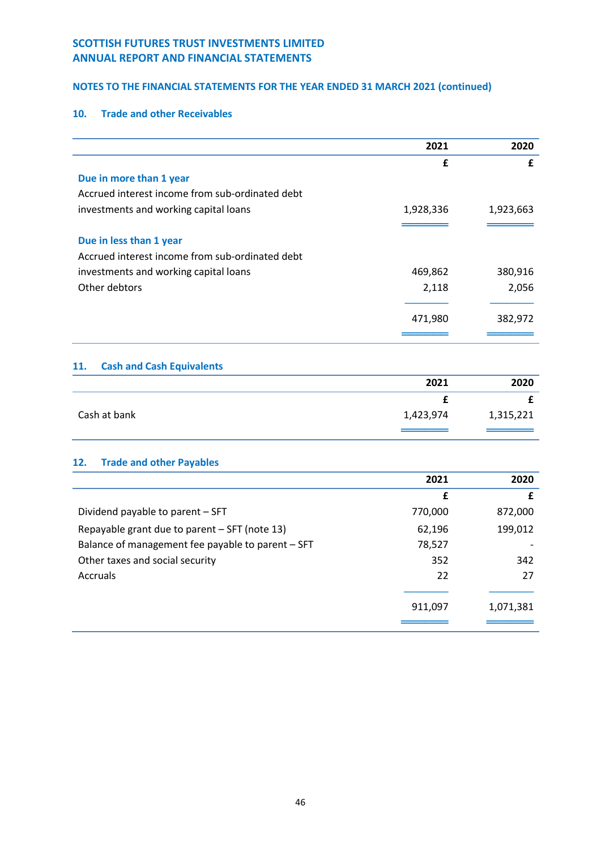## **NOTES TO THE FINANCIAL STATEMENTS FOR THE YEAR ENDED 31 MARCH 2021 (continued)**

## **10. Trade and other Receivables**

|                                                 | 2021      | 2020      |
|-------------------------------------------------|-----------|-----------|
|                                                 | £         | £         |
| Due in more than 1 year                         |           |           |
| Accrued interest income from sub-ordinated debt |           |           |
| investments and working capital loans           | 1,928,336 | 1,923,663 |
|                                                 |           |           |
| Due in less than 1 year                         |           |           |
| Accrued interest income from sub-ordinated debt |           |           |
| investments and working capital loans           | 469,862   | 380,916   |
| Other debtors                                   | 2,118     | 2,056     |
|                                                 |           |           |
|                                                 | 471,980   | 382,972   |
|                                                 |           |           |

## **11. Cash and Cash Equivalents**

|              | 2021      | 2020      |
|--------------|-----------|-----------|
|              |           |           |
| Cash at bank | 1,423,974 | 1,315,221 |
|              |           |           |

# **12. Trade and other Payables**

|                                                   | 2021    | 2020      |
|---------------------------------------------------|---------|-----------|
|                                                   | £       | £         |
| Dividend payable to parent - SFT                  | 770,000 | 872,000   |
| Repayable grant due to parent - SFT (note 13)     | 62,196  | 199,012   |
| Balance of management fee payable to parent - SFT | 78,527  |           |
| Other taxes and social security                   | 352     | 342       |
| Accruals                                          | 22      | 27        |
|                                                   |         |           |
|                                                   | 911,097 | 1,071,381 |
|                                                   |         |           |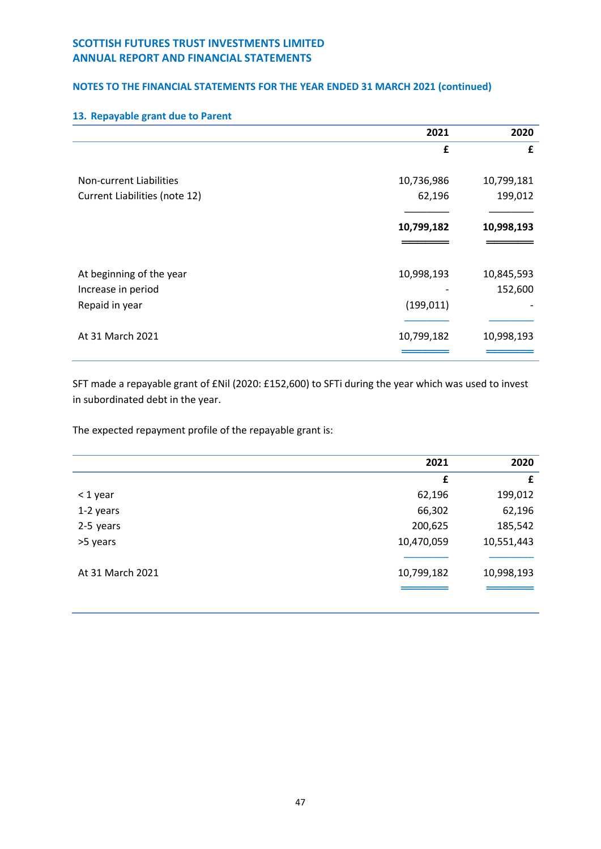## **NOTES TO THE FINANCIAL STATEMENTS FOR THE YEAR ENDED 31 MARCH 2021 (continued)**

|                               | 2021       | 2020       |
|-------------------------------|------------|------------|
|                               | £          | £          |
|                               |            |            |
| Non-current Liabilities       | 10,736,986 | 10,799,181 |
| Current Liabilities (note 12) | 62,196     | 199,012    |
|                               |            |            |
|                               | 10,799,182 | 10,998,193 |
|                               |            |            |
|                               |            |            |
| At beginning of the year      | 10,998,193 | 10,845,593 |
| Increase in period            |            | 152,600    |
| Repaid in year                | (199, 011) |            |
|                               |            |            |
| At 31 March 2021              | 10,799,182 | 10,998,193 |
|                               |            |            |

## **13. Repayable grant due to Parent**

SFT made a repayable grant of £Nil (2020: £152,600) to SFTi during the year which was used to invest in subordinated debt in the year.

The expected repayment profile of the repayable grant is:

|                  | 2021       | 2020       |
|------------------|------------|------------|
|                  | £          | £          |
| $<$ 1 year       | 62,196     | 199,012    |
| 1-2 years        | 66,302     | 62,196     |
| 2-5 years        | 200,625    | 185,542    |
| >5 years         | 10,470,059 | 10,551,443 |
|                  |            |            |
| At 31 March 2021 | 10,799,182 | 10,998,193 |
|                  |            |            |
|                  |            |            |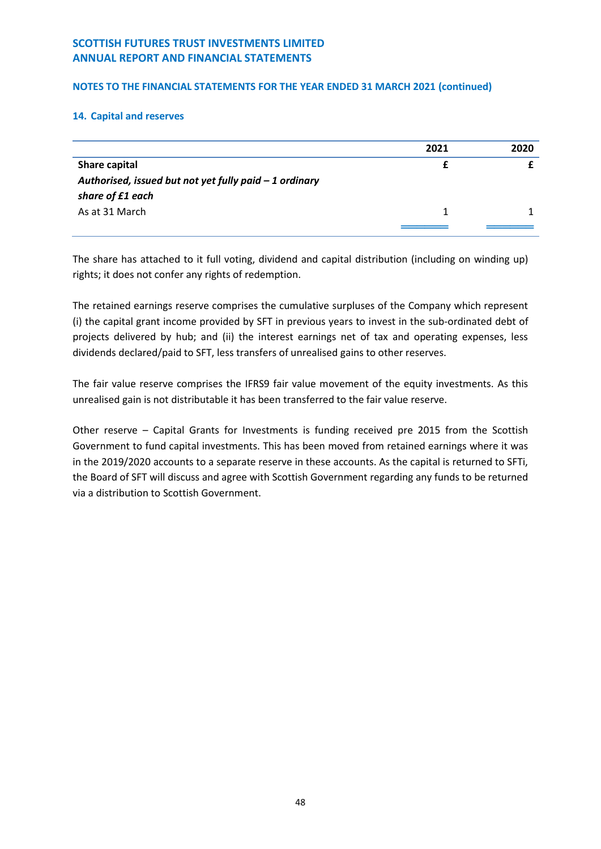## **NOTES TO THE FINANCIAL STATEMENTS FOR THE YEAR ENDED 31 MARCH 2021 (continued)**

## **14. Capital and reserves**

|                                                         | 2021 | 2020 |
|---------------------------------------------------------|------|------|
| Share capital                                           |      |      |
| Authorised, issued but not yet fully paid $-1$ ordinary |      |      |
| share of £1 each                                        |      |      |
| As at 31 March                                          |      |      |
|                                                         |      |      |

The share has attached to it full voting, dividend and capital distribution (including on winding up) rights; it does not confer any rights of redemption.

The retained earnings reserve comprises the cumulative surpluses of the Company which represent (i) the capital grant income provided by SFT in previous years to invest in the sub-ordinated debt of projects delivered by hub; and (ii) the interest earnings net of tax and operating expenses, less dividends declared/paid to SFT, less transfers of unrealised gains to other reserves.

The fair value reserve comprises the IFRS9 fair value movement of the equity investments. As this unrealised gain is not distributable it has been transferred to the fair value reserve.

Other reserve – Capital Grants for Investments is funding received pre 2015 from the Scottish Government to fund capital investments. This has been moved from retained earnings where it was in the 2019/2020 accounts to a separate reserve in these accounts. As the capital is returned to SFTi, the Board of SFT will discuss and agree with Scottish Government regarding any funds to be returned via a distribution to Scottish Government.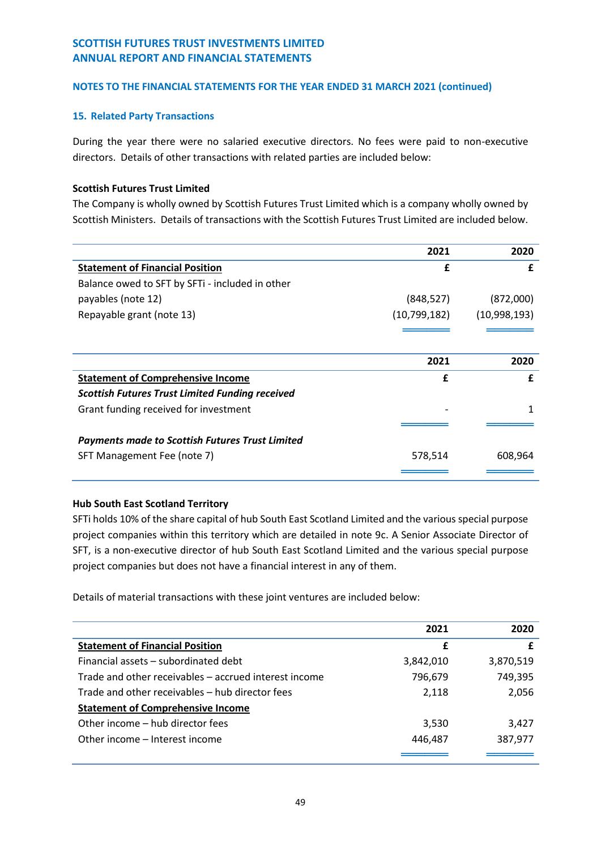## **15. Related Party Transactions**

During the year there were no salaried executive directors. No fees were paid to non-executive directors. Details of other transactions with related parties are included below:

## **Scottish Futures Trust Limited**

The Company is wholly owned by Scottish Futures Trust Limited which is a company wholly owned by Scottish Ministers. Details of transactions with the Scottish Futures Trust Limited are included below.

|                                                        | 2021         | 2020         |
|--------------------------------------------------------|--------------|--------------|
| <b>Statement of Financial Position</b>                 | £            | £            |
| Balance owed to SFT by SFTi - included in other        |              |              |
| payables (note 12)                                     | (848, 527)   | (872,000)    |
| Repayable grant (note 13)                              | (10,799,182) | (10,998,193) |
|                                                        |              |              |
|                                                        |              |              |
|                                                        | 2021         | 2020         |
| <b>Statement of Comprehensive Income</b>               | f            | f            |
| <b>Scottish Futures Trust Limited Funding received</b> |              |              |
| Grant funding received for investment                  |              | 1            |
|                                                        |              |              |
| <b>Payments made to Scottish Futures Trust Limited</b> |              |              |
| SFT Management Fee (note 7)                            | 578,514      | 608,964      |
|                                                        |              |              |

## **Hub South East Scotland Territory**

SFTi holds 10% of the share capital of hub South East Scotland Limited and the various special purpose project companies within this territory which are detailed in note 9c. A Senior Associate Director of SFT, is a non-executive director of hub South East Scotland Limited and the various special purpose project companies but does not have a financial interest in any of them.

Details of material transactions with these joint ventures are included below:

|                                                       | 2021      | 2020      |
|-------------------------------------------------------|-----------|-----------|
| <b>Statement of Financial Position</b>                | £         |           |
| Financial assets – subordinated debt                  | 3,842,010 | 3,870,519 |
| Trade and other receivables – accrued interest income | 796,679   | 749,395   |
| Trade and other receivables – hub director fees       | 2,118     | 2,056     |
| <b>Statement of Comprehensive Income</b>              |           |           |
| Other income – hub director fees                      | 3,530     | 3,427     |
| Other income – Interest income                        | 446,487   | 387,977   |
|                                                       |           |           |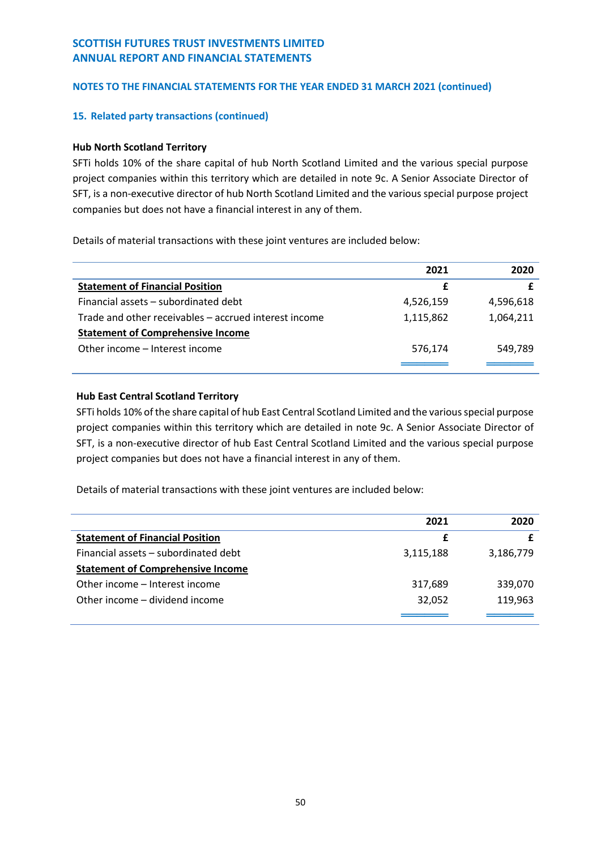## **15. Related party transactions (continued)**

## **Hub North Scotland Territory**

SFTi holds 10% of the share capital of hub North Scotland Limited and the various special purpose project companies within this territory which are detailed in note 9c. A Senior Associate Director of SFT, is a non-executive director of hub North Scotland Limited and the various special purpose project companies but does not have a financial interest in any of them.

Details of material transactions with these joint ventures are included below:

|                                                       | 2021      | 2020      |
|-------------------------------------------------------|-----------|-----------|
| <b>Statement of Financial Position</b>                | £         |           |
| Financial assets – subordinated debt                  | 4,526,159 | 4,596,618 |
| Trade and other receivables - accrued interest income | 1,115,862 | 1,064,211 |
| <b>Statement of Comprehensive Income</b>              |           |           |
| Other income – Interest income                        | 576,174   | 549,789   |
|                                                       |           |           |

## **Hub East Central Scotland Territory**

SFTi holds 10% of the share capital of hub East Central Scotland Limited and the various special purpose project companies within this territory which are detailed in note 9c. A Senior Associate Director of SFT, is a non-executive director of hub East Central Scotland Limited and the various special purpose project companies but does not have a financial interest in any of them.

Details of material transactions with these joint ventures are included below:

|                                          | 2021      | 2020      |
|------------------------------------------|-----------|-----------|
| <b>Statement of Financial Position</b>   | £         |           |
| Financial assets – subordinated debt     | 3,115,188 | 3,186,779 |
| <b>Statement of Comprehensive Income</b> |           |           |
| Other income – Interest income           | 317,689   | 339,070   |
| Other income – dividend income           | 32,052    | 119,963   |
|                                          |           |           |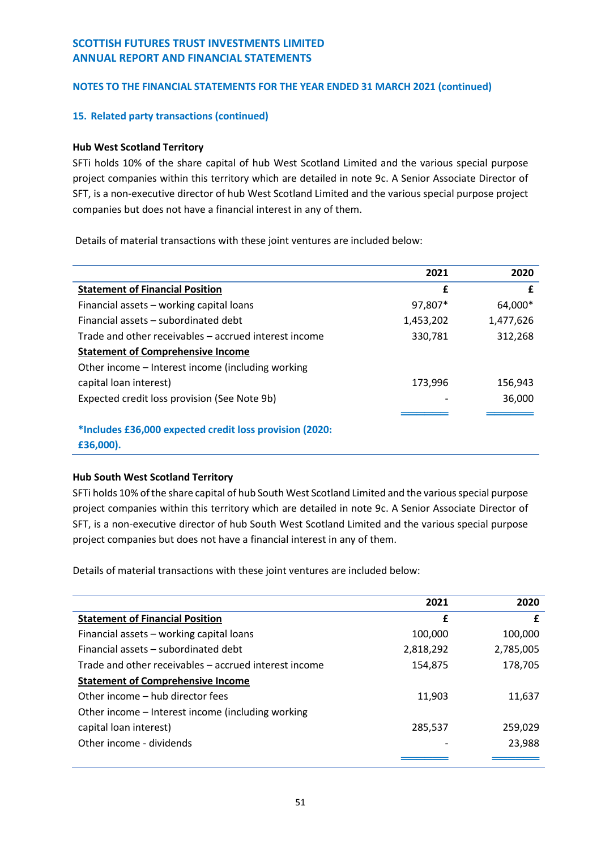## **15. Related party transactions (continued)**

## **Hub West Scotland Territory**

SFTi holds 10% of the share capital of hub West Scotland Limited and the various special purpose project companies within this territory which are detailed in note 9c. A Senior Associate Director of SFT, is a non-executive director of hub West Scotland Limited and the various special purpose project companies but does not have a financial interest in any of them.

Details of material transactions with these joint ventures are included below:

|                                                         | 2021      | 2020      |
|---------------------------------------------------------|-----------|-----------|
| <b>Statement of Financial Position</b>                  | £         | £         |
| Financial assets - working capital loans                | 97,807*   | 64,000*   |
| Financial assets – subordinated debt                    | 1,453,202 | 1,477,626 |
| Trade and other receivables – accrued interest income   | 330,781   | 312,268   |
| <b>Statement of Comprehensive Income</b>                |           |           |
| Other income – Interest income (including working       |           |           |
| capital loan interest)                                  | 173,996   | 156,943   |
| Expected credit loss provision (See Note 9b)            |           | 36,000    |
|                                                         |           |           |
| *Includes £36,000 expected credit loss provision (2020: |           |           |

**£36,000).**

## **Hub South West Scotland Territory**

SFTi holds 10% of the share capital of hub South West Scotland Limited and the various special purpose project companies within this territory which are detailed in note 9c. A Senior Associate Director of SFT, is a non-executive director of hub South West Scotland Limited and the various special purpose project companies but does not have a financial interest in any of them.

Details of material transactions with these joint ventures are included below:

|                                                       | 2021      | 2020      |
|-------------------------------------------------------|-----------|-----------|
| <b>Statement of Financial Position</b>                | £         | £         |
| Financial assets - working capital loans              | 100,000   | 100,000   |
| Financial assets – subordinated debt                  | 2,818,292 | 2,785,005 |
| Trade and other receivables – accrued interest income | 154,875   | 178,705   |
| <b>Statement of Comprehensive Income</b>              |           |           |
| Other income - hub director fees                      | 11,903    | 11,637    |
| Other income – Interest income (including working     |           |           |
| capital loan interest)                                | 285,537   | 259,029   |
| Other income - dividends                              |           | 23,988    |
|                                                       |           |           |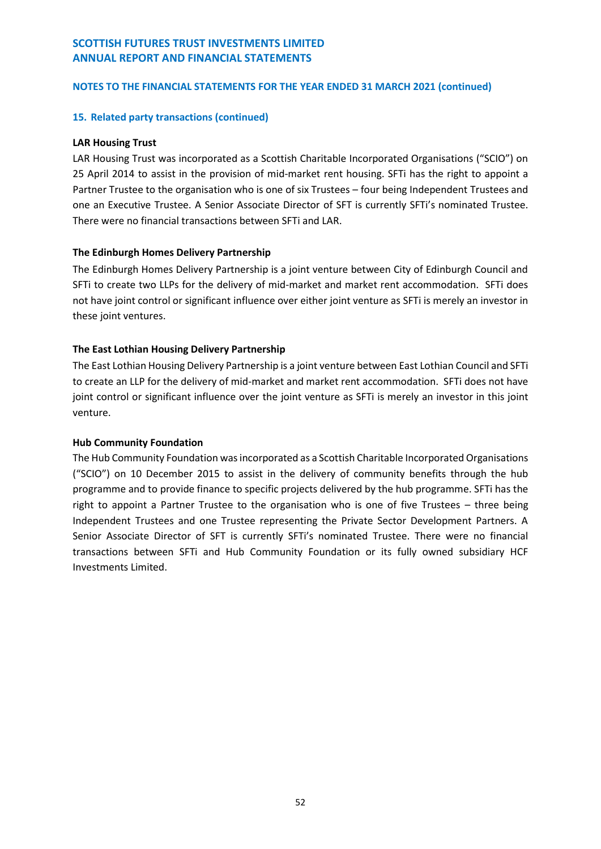## **NOTES TO THE FINANCIAL STATEMENTS FOR THE YEAR ENDED 31 MARCH 2021 (continued)**

#### **15. Related party transactions (continued)**

#### **LAR Housing Trust**

LAR Housing Trust was incorporated as a Scottish Charitable Incorporated Organisations ("SCIO") on 25 April 2014 to assist in the provision of mid-market rent housing. SFTi has the right to appoint a Partner Trustee to the organisation who is one of six Trustees – four being Independent Trustees and one an Executive Trustee. A Senior Associate Director of SFT is currently SFTi's nominated Trustee. There were no financial transactions between SFTi and LAR.

## **The Edinburgh Homes Delivery Partnership**

The Edinburgh Homes Delivery Partnership is a joint venture between City of Edinburgh Council and SFTi to create two LLPs for the delivery of mid-market and market rent accommodation. SFTi does not have joint control or significant influence over either joint venture as SFTi is merely an investor in these joint ventures.

## **The East Lothian Housing Delivery Partnership**

The East Lothian Housing Delivery Partnership is a joint venture between East Lothian Council and SFTi to create an LLP for the delivery of mid-market and market rent accommodation. SFTi does not have joint control or significant influence over the joint venture as SFTi is merely an investor in this joint venture.

## **Hub Community Foundation**

The Hub Community Foundation was incorporated as a Scottish Charitable Incorporated Organisations ("SCIO") on 10 December 2015 to assist in the delivery of community benefits through the hub programme and to provide finance to specific projects delivered by the hub programme. SFTi has the right to appoint a Partner Trustee to the organisation who is one of five Trustees – three being Independent Trustees and one Trustee representing the Private Sector Development Partners. A Senior Associate Director of SFT is currently SFTi's nominated Trustee. There were no financial transactions between SFTi and Hub Community Foundation or its fully owned subsidiary HCF Investments Limited.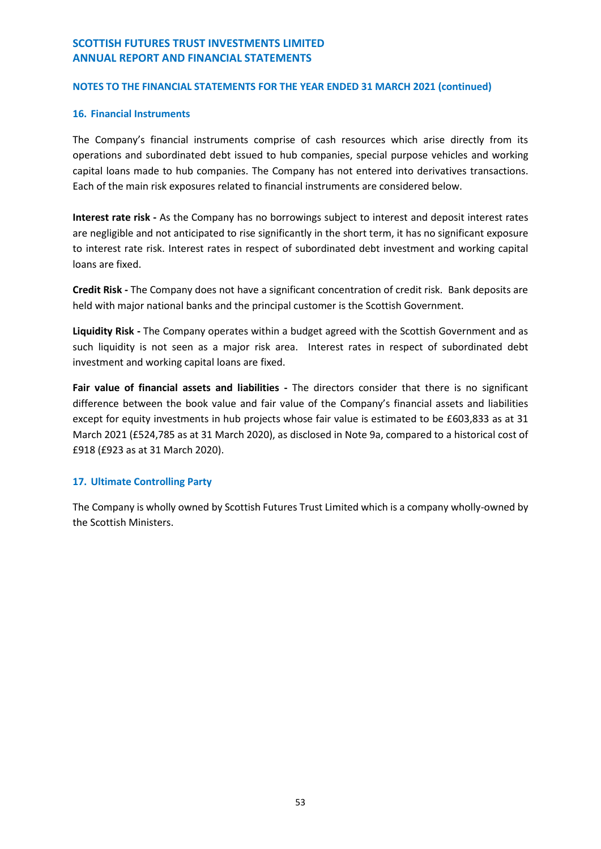## **NOTES TO THE FINANCIAL STATEMENTS FOR THE YEAR ENDED 31 MARCH 2021 (continued)**

## **16. Financial Instruments**

The Company's financial instruments comprise of cash resources which arise directly from its operations and subordinated debt issued to hub companies, special purpose vehicles and working capital loans made to hub companies. The Company has not entered into derivatives transactions. Each of the main risk exposures related to financial instruments are considered below.

**Interest rate risk -** As the Company has no borrowings subject to interest and deposit interest rates are negligible and not anticipated to rise significantly in the short term, it has no significant exposure to interest rate risk. Interest rates in respect of subordinated debt investment and working capital loans are fixed.

**Credit Risk -** The Company does not have a significant concentration of credit risk. Bank deposits are held with major national banks and the principal customer is the Scottish Government.

**Liquidity Risk -** The Company operates within a budget agreed with the Scottish Government and as such liquidity is not seen as a major risk area. Interest rates in respect of subordinated debt investment and working capital loans are fixed.

**Fair value of financial assets and liabilities -** The directors consider that there is no significant difference between the book value and fair value of the Company's financial assets and liabilities except for equity investments in hub projects whose fair value is estimated to be £603,833 as at 31 March 2021 (£524,785 as at 31 March 2020), as disclosed in Note 9a, compared to a historical cost of £918 (£923 as at 31 March 2020).

## **17. Ultimate Controlling Party**

The Company is wholly owned by Scottish Futures Trust Limited which is a company wholly-owned by the Scottish Ministers.